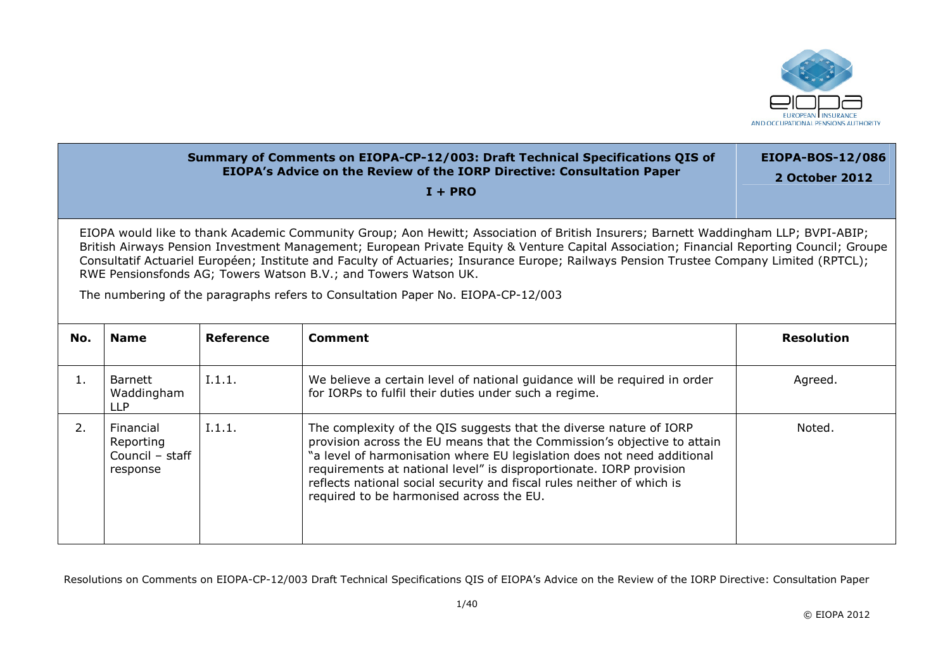

## **Summary of Comments on EIOPA-CP-12/003: Draft Technical Specifications QIS of EIOPA's Advice on the Review of the IORP Directive: Consultation Paper I + PRO** EIOPA-BOS-12/086 **2 October 2012** EIOPA would like to thank Academic Community Group; Aon Hewitt; Association of British Insurers; Barnett Waddingham LLP; BVPI-ABIP; British Airways Pension Investment Management; European Private Equity & Venture Capital Association; Financial Reporting Council; Groupe Consultatif Actuariel Européen; Institute and Faculty of Actuaries; Insurance Europe; Railways Pension Trustee Company Limited (RPTCL); RWE Pensionsfonds AG; Towers Watson B.V.; and Towers Watson UK. The numbering of the paragraphs refers to Consultation Paper No. EIOPA-CP-12/003

| No. | <b>Name</b>                                           | Reference | <b>Comment</b>                                                                                                                                                                                                                                                                                                                                                                                                        | <b>Resolution</b> |
|-----|-------------------------------------------------------|-----------|-----------------------------------------------------------------------------------------------------------------------------------------------------------------------------------------------------------------------------------------------------------------------------------------------------------------------------------------------------------------------------------------------------------------------|-------------------|
| 1.  | Barnett<br>Waddingham<br>LLP                          | I.1.1.    | We believe a certain level of national guidance will be required in order<br>for IORPs to fulfil their duties under such a regime.                                                                                                                                                                                                                                                                                    | Agreed.           |
| 2.  | Financial<br>Reporting<br>Council - staff<br>response | I.1.1.    | The complexity of the QIS suggests that the diverse nature of IORP<br>provision across the EU means that the Commission's objective to attain<br>"a level of harmonisation where EU legislation does not need additional<br>requirements at national level" is disproportionate. IORP provision<br>reflects national social security and fiscal rules neither of which is<br>required to be harmonised across the EU. | Noted.            |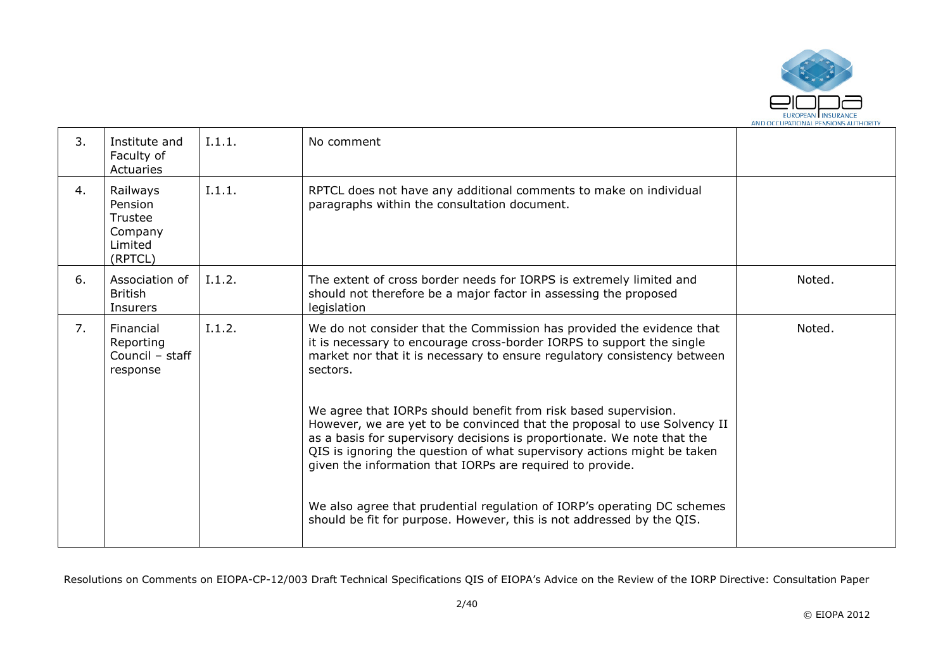

| 3. | Institute and<br>Faculty of<br>Actuaries                        | I.1.1. | No comment                                                                                                                                                                                                                                                                                                                                                     |        |
|----|-----------------------------------------------------------------|--------|----------------------------------------------------------------------------------------------------------------------------------------------------------------------------------------------------------------------------------------------------------------------------------------------------------------------------------------------------------------|--------|
| 4. | Railways<br>Pension<br>Trustee<br>Company<br>Limited<br>(RPTCL) | I.1.1. | RPTCL does not have any additional comments to make on individual<br>paragraphs within the consultation document.                                                                                                                                                                                                                                              |        |
| 6. | Association of<br><b>British</b><br>Insurers                    | I.1.2. | The extent of cross border needs for IORPS is extremely limited and<br>should not therefore be a major factor in assessing the proposed<br>legislation                                                                                                                                                                                                         | Noted. |
| 7. | Financial<br>Reporting<br>Council - staff<br>response           | I.1.2. | We do not consider that the Commission has provided the evidence that<br>it is necessary to encourage cross-border IORPS to support the single<br>market nor that it is necessary to ensure regulatory consistency between<br>sectors.                                                                                                                         | Noted. |
|    |                                                                 |        | We agree that IORPs should benefit from risk based supervision.<br>However, we are yet to be convinced that the proposal to use Solvency II<br>as a basis for supervisory decisions is proportionate. We note that the<br>QIS is ignoring the question of what supervisory actions might be taken<br>given the information that IORPs are required to provide. |        |
|    |                                                                 |        | We also agree that prudential regulation of IORP's operating DC schemes<br>should be fit for purpose. However, this is not addressed by the QIS.                                                                                                                                                                                                               |        |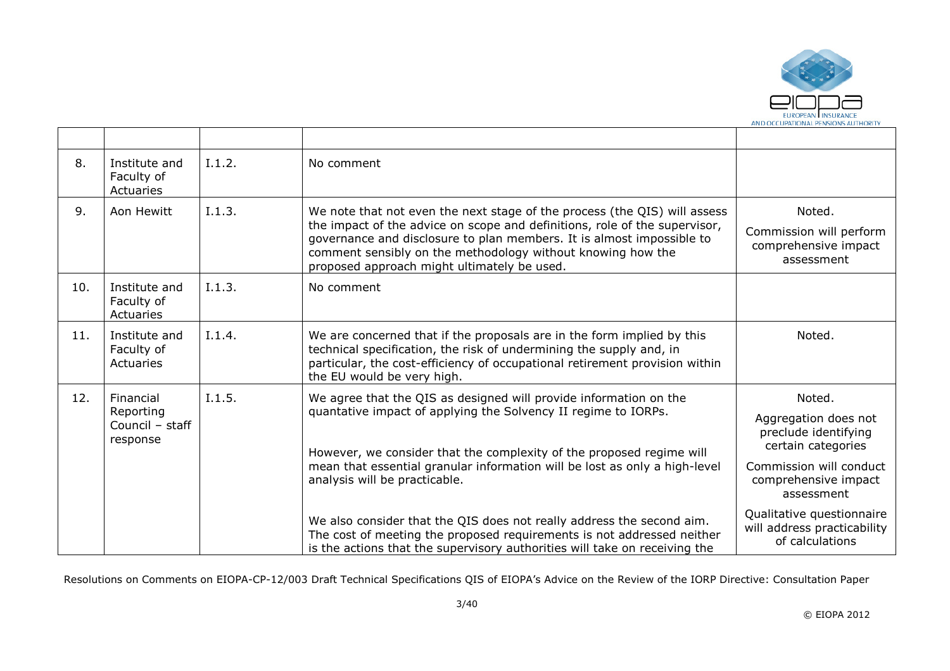

| 8.  | Institute and<br>Faculty of<br>Actuaries | I.1.2. | No comment                                                                                                                                                                                                                                                                                                                                     |                                                                             |
|-----|------------------------------------------|--------|------------------------------------------------------------------------------------------------------------------------------------------------------------------------------------------------------------------------------------------------------------------------------------------------------------------------------------------------|-----------------------------------------------------------------------------|
| 9.  | Aon Hewitt                               | I.1.3. | We note that not even the next stage of the process (the QIS) will assess<br>the impact of the advice on scope and definitions, role of the supervisor,<br>governance and disclosure to plan members. It is almost impossible to<br>comment sensibly on the methodology without knowing how the<br>proposed approach might ultimately be used. | Noted.<br>Commission will perform<br>comprehensive impact<br>assessment     |
| 10. | Institute and<br>Faculty of<br>Actuaries | I.1.3. | No comment                                                                                                                                                                                                                                                                                                                                     |                                                                             |
| 11. | Institute and<br>Faculty of<br>Actuaries | I.1.4. | We are concerned that if the proposals are in the form implied by this<br>technical specification, the risk of undermining the supply and, in<br>particular, the cost-efficiency of occupational retirement provision within<br>the EU would be very high.                                                                                     | Noted.                                                                      |
| 12. | Financial                                | I.1.5. | We agree that the QIS as designed will provide information on the                                                                                                                                                                                                                                                                              | Noted.                                                                      |
|     | Reporting<br>Council - staff<br>response |        | quantative impact of applying the Solvency II regime to IORPs.<br>However, we consider that the complexity of the proposed regime will                                                                                                                                                                                                         | Aggregation does not<br>preclude identifying<br>certain categories          |
|     |                                          |        | mean that essential granular information will be lost as only a high-level<br>analysis will be practicable.                                                                                                                                                                                                                                    | Commission will conduct<br>comprehensive impact<br>assessment               |
|     |                                          |        | We also consider that the QIS does not really address the second aim.<br>The cost of meeting the proposed requirements is not addressed neither<br>is the actions that the supervisory authorities will take on receiving the                                                                                                                  | Qualitative questionnaire<br>will address practicability<br>of calculations |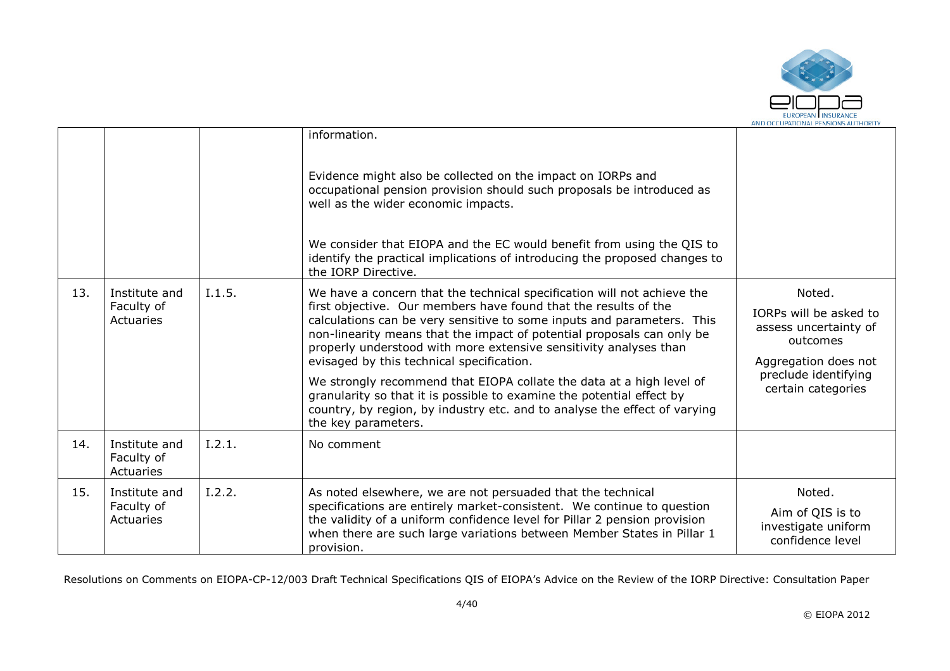

|     |                                          |        | information.<br>Evidence might also be collected on the impact on IORPs and<br>occupational pension provision should such proposals be introduced as<br>well as the wider economic impacts.<br>We consider that EIOPA and the EC would benefit from using the QIS to<br>identify the practical implications of introducing the proposed changes to<br>the IORP Directive.                                                                                                                                                                                                                                                                                             |                                                                                                                                             |
|-----|------------------------------------------|--------|-----------------------------------------------------------------------------------------------------------------------------------------------------------------------------------------------------------------------------------------------------------------------------------------------------------------------------------------------------------------------------------------------------------------------------------------------------------------------------------------------------------------------------------------------------------------------------------------------------------------------------------------------------------------------|---------------------------------------------------------------------------------------------------------------------------------------------|
| 13. | Institute and<br>Faculty of<br>Actuaries | I.1.5. | We have a concern that the technical specification will not achieve the<br>first objective. Our members have found that the results of the<br>calculations can be very sensitive to some inputs and parameters. This<br>non-linearity means that the impact of potential proposals can only be<br>properly understood with more extensive sensitivity analyses than<br>evisaged by this technical specification.<br>We strongly recommend that EIOPA collate the data at a high level of<br>granularity so that it is possible to examine the potential effect by<br>country, by region, by industry etc. and to analyse the effect of varying<br>the key parameters. | Noted.<br>IORPs will be asked to<br>assess uncertainty of<br>outcomes<br>Aggregation does not<br>preclude identifying<br>certain categories |
| 14. | Institute and<br>Faculty of<br>Actuaries | I.2.1. | No comment                                                                                                                                                                                                                                                                                                                                                                                                                                                                                                                                                                                                                                                            |                                                                                                                                             |
| 15. | Institute and<br>Faculty of<br>Actuaries | I.2.2. | As noted elsewhere, we are not persuaded that the technical<br>specifications are entirely market-consistent. We continue to question<br>the validity of a uniform confidence level for Pillar 2 pension provision<br>when there are such large variations between Member States in Pillar 1<br>provision.                                                                                                                                                                                                                                                                                                                                                            | Noted.<br>Aim of QIS is to<br>investigate uniform<br>confidence level                                                                       |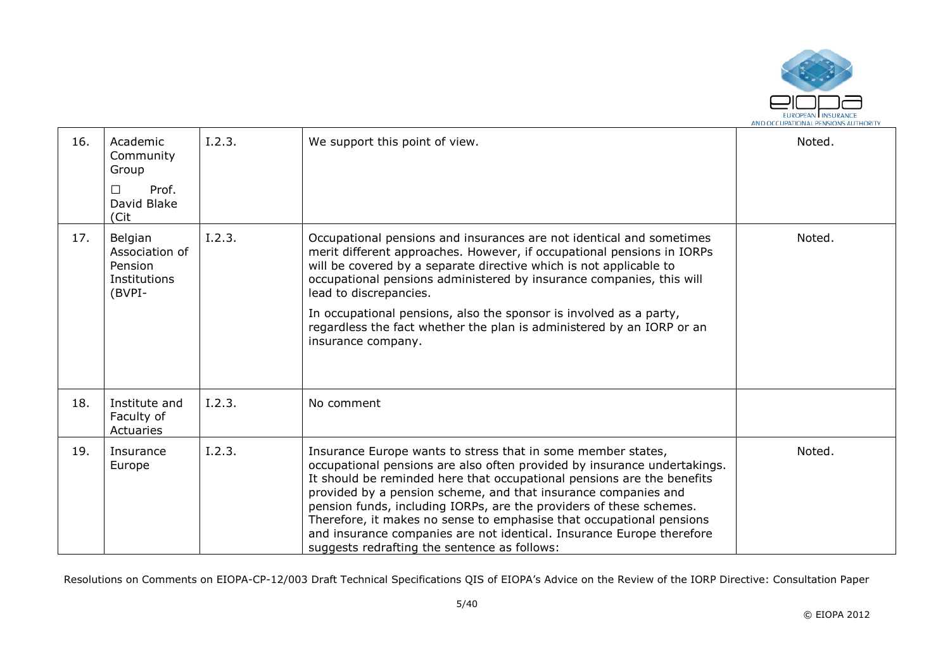

| 16. | Academic<br>Community<br>Group<br>Prof.<br>□<br>David Blake<br>(Cit | I.2.3. | We support this point of view.                                                                                                                                                                                                                                                                                                                                                                                                                                                                                                                               | Noted. |
|-----|---------------------------------------------------------------------|--------|--------------------------------------------------------------------------------------------------------------------------------------------------------------------------------------------------------------------------------------------------------------------------------------------------------------------------------------------------------------------------------------------------------------------------------------------------------------------------------------------------------------------------------------------------------------|--------|
| 17. | Belgian<br>Association of<br>Pension<br>Institutions<br>(BVPI-      | I.2.3. | Occupational pensions and insurances are not identical and sometimes<br>merit different approaches. However, if occupational pensions in IORPs<br>will be covered by a separate directive which is not applicable to<br>occupational pensions administered by insurance companies, this will<br>lead to discrepancies.<br>In occupational pensions, also the sponsor is involved as a party,<br>regardless the fact whether the plan is administered by an IORP or an<br>insurance company.                                                                  | Noted. |
| 18. | Institute and<br>Faculty of<br>Actuaries                            | I.2.3. | No comment                                                                                                                                                                                                                                                                                                                                                                                                                                                                                                                                                   |        |
| 19. | Insurance<br>Europe                                                 | I.2.3. | Insurance Europe wants to stress that in some member states,<br>occupational pensions are also often provided by insurance undertakings.<br>It should be reminded here that occupational pensions are the benefits<br>provided by a pension scheme, and that insurance companies and<br>pension funds, including IORPs, are the providers of these schemes.<br>Therefore, it makes no sense to emphasise that occupational pensions<br>and insurance companies are not identical. Insurance Europe therefore<br>suggests redrafting the sentence as follows: | Noted. |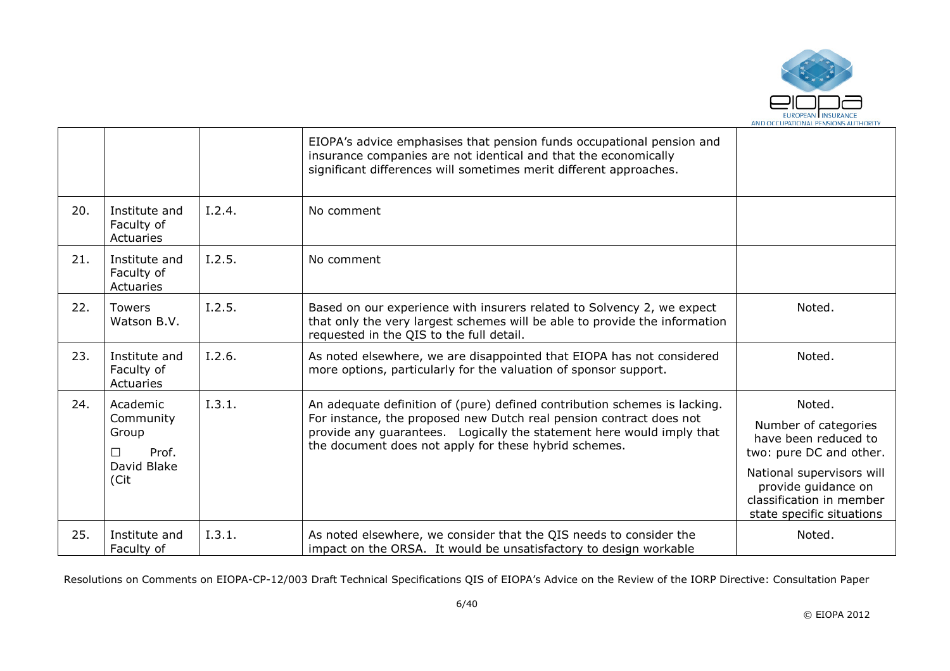

|     |                                                                     |        | EIOPA's advice emphasises that pension funds occupational pension and<br>insurance companies are not identical and that the economically<br>significant differences will sometimes merit different approaches.                                                                     |                                                                                                                                                                                                |
|-----|---------------------------------------------------------------------|--------|------------------------------------------------------------------------------------------------------------------------------------------------------------------------------------------------------------------------------------------------------------------------------------|------------------------------------------------------------------------------------------------------------------------------------------------------------------------------------------------|
| 20. | Institute and<br>Faculty of<br>Actuaries                            | I.2.4. | No comment                                                                                                                                                                                                                                                                         |                                                                                                                                                                                                |
| 21. | Institute and<br>Faculty of<br>Actuaries                            | I.2.5. | No comment                                                                                                                                                                                                                                                                         |                                                                                                                                                                                                |
| 22. | <b>Towers</b><br>Watson B.V.                                        | I.2.5. | Based on our experience with insurers related to Solvency 2, we expect<br>that only the very largest schemes will be able to provide the information<br>requested in the QIS to the full detail.                                                                                   | Noted.                                                                                                                                                                                         |
| 23. | Institute and<br>Faculty of<br>Actuaries                            | I.2.6. | As noted elsewhere, we are disappointed that EIOPA has not considered<br>more options, particularly for the valuation of sponsor support.                                                                                                                                          | Noted.                                                                                                                                                                                         |
| 24. | Academic<br>Community<br>Group<br>Prof.<br>П<br>David Blake<br>(Cit | I.3.1. | An adequate definition of (pure) defined contribution schemes is lacking.<br>For instance, the proposed new Dutch real pension contract does not<br>provide any guarantees. Logically the statement here would imply that<br>the document does not apply for these hybrid schemes. | Noted.<br>Number of categories<br>have been reduced to<br>two: pure DC and other.<br>National supervisors will<br>provide guidance on<br>classification in member<br>state specific situations |
| 25. | Institute and<br>Faculty of                                         | I.3.1. | As noted elsewhere, we consider that the QIS needs to consider the<br>impact on the ORSA. It would be unsatisfactory to design workable                                                                                                                                            | Noted.                                                                                                                                                                                         |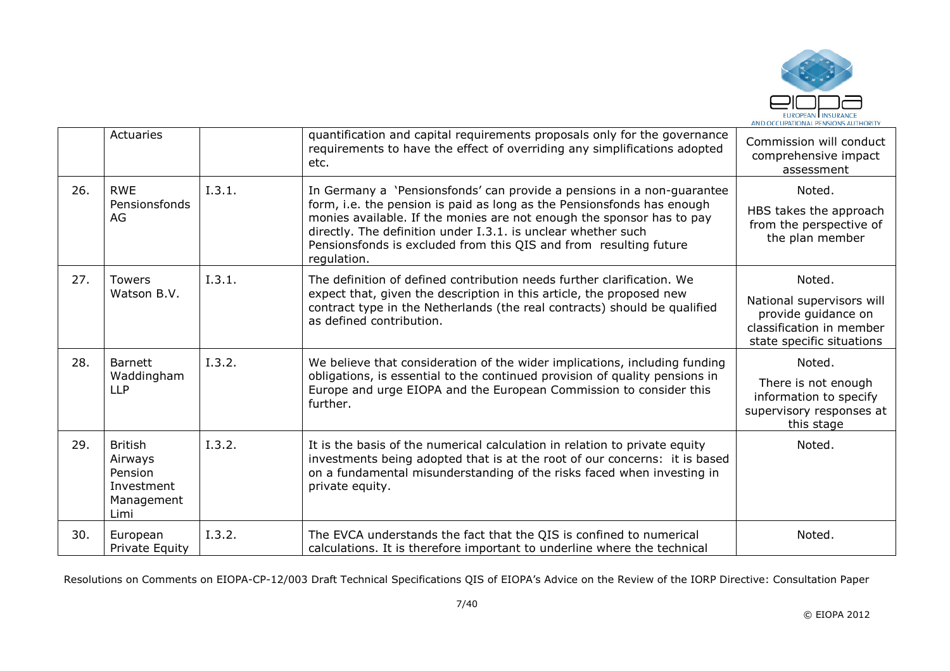

|     | Actuaries                                                                |        | quantification and capital requirements proposals only for the governance<br>requirements to have the effect of overriding any simplifications adopted<br>etc.                                                                                                                                                                                                                 | Commission will conduct<br>comprehensive impact<br>assessment                                                       |
|-----|--------------------------------------------------------------------------|--------|--------------------------------------------------------------------------------------------------------------------------------------------------------------------------------------------------------------------------------------------------------------------------------------------------------------------------------------------------------------------------------|---------------------------------------------------------------------------------------------------------------------|
| 26. | <b>RWE</b><br>Pensionsfonds<br>AG.                                       | I.3.1. | In Germany a 'Pensionsfonds' can provide a pensions in a non-guarantee<br>form, i.e. the pension is paid as long as the Pensionsfonds has enough<br>monies available. If the monies are not enough the sponsor has to pay<br>directly. The definition under I.3.1. is unclear whether such<br>Pensionsfonds is excluded from this QIS and from resulting future<br>regulation. | Noted.<br>HBS takes the approach<br>from the perspective of<br>the plan member                                      |
| 27. | <b>Towers</b><br>Watson B.V.                                             | I.3.1. | The definition of defined contribution needs further clarification. We<br>expect that, given the description in this article, the proposed new<br>contract type in the Netherlands (the real contracts) should be qualified<br>as defined contribution.                                                                                                                        | Noted.<br>National supervisors will<br>provide quidance on<br>classification in member<br>state specific situations |
| 28. | <b>Barnett</b><br>Waddingham<br><b>LLP</b>                               | I.3.2. | We believe that consideration of the wider implications, including funding<br>obligations, is essential to the continued provision of quality pensions in<br>Europe and urge EIOPA and the European Commission to consider this<br>further.                                                                                                                                    | Noted.<br>There is not enough<br>information to specify<br>supervisory responses at<br>this stage                   |
| 29. | <b>British</b><br>Airways<br>Pension<br>Investment<br>Management<br>Limi | I.3.2. | It is the basis of the numerical calculation in relation to private equity<br>investments being adopted that is at the root of our concerns: it is based<br>on a fundamental misunderstanding of the risks faced when investing in<br>private equity.                                                                                                                          | Noted.                                                                                                              |
| 30. | European<br>Private Equity                                               | I.3.2. | The EVCA understands the fact that the QIS is confined to numerical<br>calculations. It is therefore important to underline where the technical                                                                                                                                                                                                                                | Noted.                                                                                                              |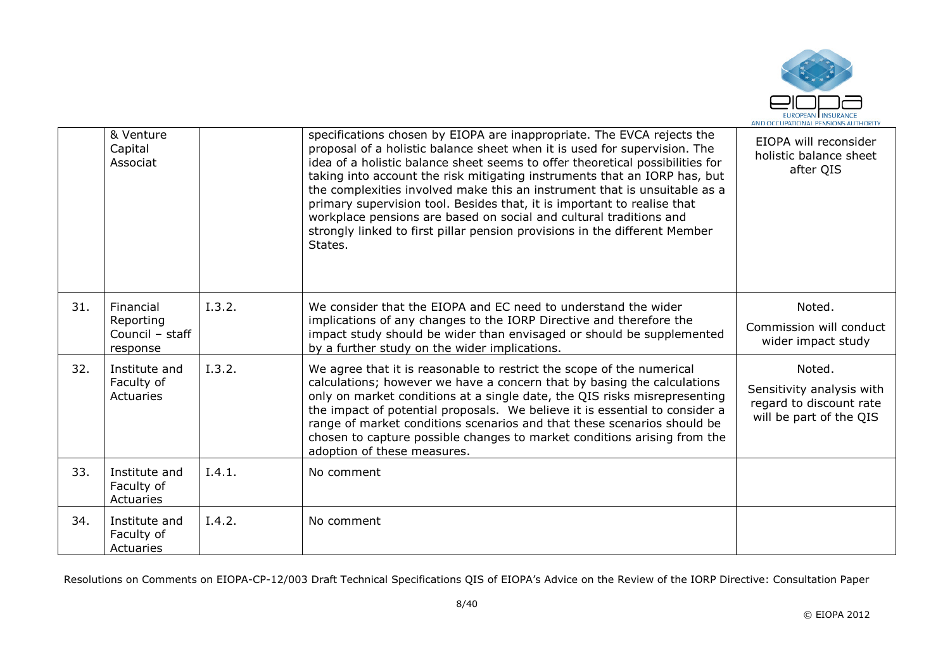

|     | & Venture<br>Capital<br>Associat                      |        | specifications chosen by EIOPA are inappropriate. The EVCA rejects the<br>proposal of a holistic balance sheet when it is used for supervision. The<br>idea of a holistic balance sheet seems to offer theoretical possibilities for<br>taking into account the risk mitigating instruments that an IORP has, but<br>the complexities involved make this an instrument that is unsuitable as a<br>primary supervision tool. Besides that, it is important to realise that<br>workplace pensions are based on social and cultural traditions and<br>strongly linked to first pillar pension provisions in the different Member<br>States. | EIOPA will reconsider<br>holistic balance sheet<br>after QIS                              |
|-----|-------------------------------------------------------|--------|------------------------------------------------------------------------------------------------------------------------------------------------------------------------------------------------------------------------------------------------------------------------------------------------------------------------------------------------------------------------------------------------------------------------------------------------------------------------------------------------------------------------------------------------------------------------------------------------------------------------------------------|-------------------------------------------------------------------------------------------|
| 31. | Financial<br>Reporting<br>Council - staff<br>response | I.3.2. | We consider that the EIOPA and EC need to understand the wider<br>implications of any changes to the IORP Directive and therefore the<br>impact study should be wider than envisaged or should be supplemented<br>by a further study on the wider implications.                                                                                                                                                                                                                                                                                                                                                                          | Noted.<br>Commission will conduct<br>wider impact study                                   |
| 32. | Institute and<br>Faculty of<br>Actuaries              | I.3.2. | We agree that it is reasonable to restrict the scope of the numerical<br>calculations; however we have a concern that by basing the calculations<br>only on market conditions at a single date, the QIS risks misrepresenting<br>the impact of potential proposals. We believe it is essential to consider a<br>range of market conditions scenarios and that these scenarios should be<br>chosen to capture possible changes to market conditions arising from the<br>adoption of these measures.                                                                                                                                       | Noted.<br>Sensitivity analysis with<br>regard to discount rate<br>will be part of the QIS |
| 33. | Institute and<br>Faculty of<br>Actuaries              | I.4.1. | No comment                                                                                                                                                                                                                                                                                                                                                                                                                                                                                                                                                                                                                               |                                                                                           |
| 34. | Institute and<br>Faculty of<br>Actuaries              | I.4.2. | No comment                                                                                                                                                                                                                                                                                                                                                                                                                                                                                                                                                                                                                               |                                                                                           |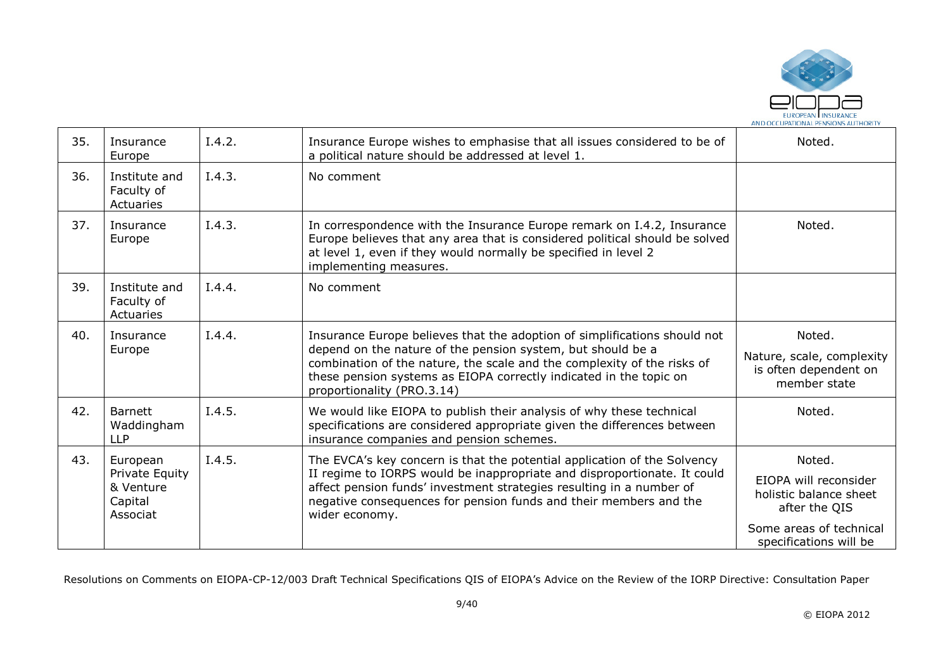

| 35. | Insurance<br>Europe                                            | I.4.2. | Insurance Europe wishes to emphasise that all issues considered to be of<br>a political nature should be addressed at level 1.                                                                                                                                                                                          | Noted.                                                                                                                          |
|-----|----------------------------------------------------------------|--------|-------------------------------------------------------------------------------------------------------------------------------------------------------------------------------------------------------------------------------------------------------------------------------------------------------------------------|---------------------------------------------------------------------------------------------------------------------------------|
| 36. | Institute and<br>Faculty of<br>Actuaries                       | I.4.3. | No comment                                                                                                                                                                                                                                                                                                              |                                                                                                                                 |
| 37. | Insurance<br>Europe                                            | I.4.3. | In correspondence with the Insurance Europe remark on I.4.2, Insurance<br>Europe believes that any area that is considered political should be solved<br>at level 1, even if they would normally be specified in level 2<br>implementing measures.                                                                      | Noted.                                                                                                                          |
| 39. | Institute and<br>Faculty of<br>Actuaries                       | I.4.4. | No comment                                                                                                                                                                                                                                                                                                              |                                                                                                                                 |
| 40. | Insurance<br>Europe                                            | I.4.4. | Insurance Europe believes that the adoption of simplifications should not<br>depend on the nature of the pension system, but should be a<br>combination of the nature, the scale and the complexity of the risks of<br>these pension systems as EIOPA correctly indicated in the topic on<br>proportionality (PRO.3.14) | Noted.<br>Nature, scale, complexity<br>is often dependent on<br>member state                                                    |
| 42. | <b>Barnett</b><br>Waddingham<br><b>LLP</b>                     | I.4.5. | We would like EIOPA to publish their analysis of why these technical<br>specifications are considered appropriate given the differences between<br>insurance companies and pension schemes.                                                                                                                             | Noted.                                                                                                                          |
| 43. | European<br>Private Equity<br>& Venture<br>Capital<br>Associat | I.4.5. | The EVCA's key concern is that the potential application of the Solvency<br>II regime to IORPS would be inappropriate and disproportionate. It could<br>affect pension funds' investment strategies resulting in a number of<br>negative consequences for pension funds and their members and the<br>wider economy.     | Noted.<br>EIOPA will reconsider<br>holistic balance sheet<br>after the QIS<br>Some areas of technical<br>specifications will be |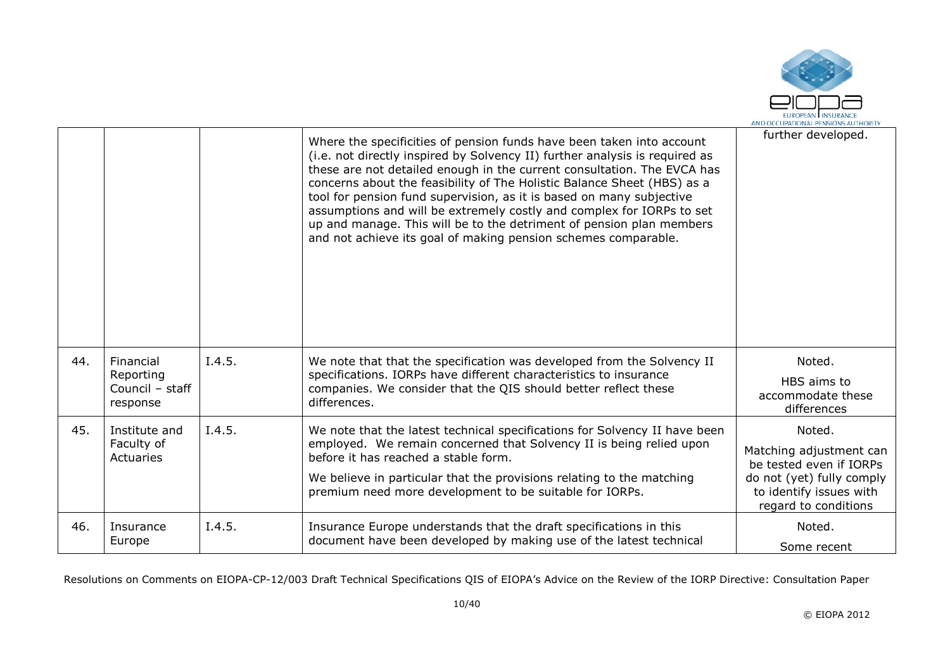

|     |                                                       |        | Where the specificities of pension funds have been taken into account<br>(i.e. not directly inspired by Solvency II) further analysis is required as<br>these are not detailed enough in the current consultation. The EVCA has<br>concerns about the feasibility of The Holistic Balance Sheet (HBS) as a<br>tool for pension fund supervision, as it is based on many subjective<br>assumptions and will be extremely costly and complex for IORPs to set<br>up and manage. This will be to the detriment of pension plan members<br>and not achieve its goal of making pension schemes comparable. | further developed.                                                                                                                           |
|-----|-------------------------------------------------------|--------|-------------------------------------------------------------------------------------------------------------------------------------------------------------------------------------------------------------------------------------------------------------------------------------------------------------------------------------------------------------------------------------------------------------------------------------------------------------------------------------------------------------------------------------------------------------------------------------------------------|----------------------------------------------------------------------------------------------------------------------------------------------|
| 44. | Financial<br>Reporting<br>Council - staff<br>response | I.4.5. | We note that that the specification was developed from the Solvency II<br>specifications. IORPs have different characteristics to insurance<br>companies. We consider that the QIS should better reflect these<br>differences.                                                                                                                                                                                                                                                                                                                                                                        | Noted.<br>HBS aims to<br>accommodate these<br>differences                                                                                    |
| 45. | Institute and<br>Faculty of<br>Actuaries              | I.4.5. | We note that the latest technical specifications for Solvency II have been<br>employed. We remain concerned that Solvency II is being relied upon<br>before it has reached a stable form.<br>We believe in particular that the provisions relating to the matching<br>premium need more development to be suitable for IORPs.                                                                                                                                                                                                                                                                         | Noted.<br>Matching adjustment can<br>be tested even if IORPs<br>do not (yet) fully comply<br>to identify issues with<br>regard to conditions |
| 46. | Insurance<br>Europe                                   | I.4.5. | Insurance Europe understands that the draft specifications in this<br>document have been developed by making use of the latest technical                                                                                                                                                                                                                                                                                                                                                                                                                                                              | Noted.<br>Some recent                                                                                                                        |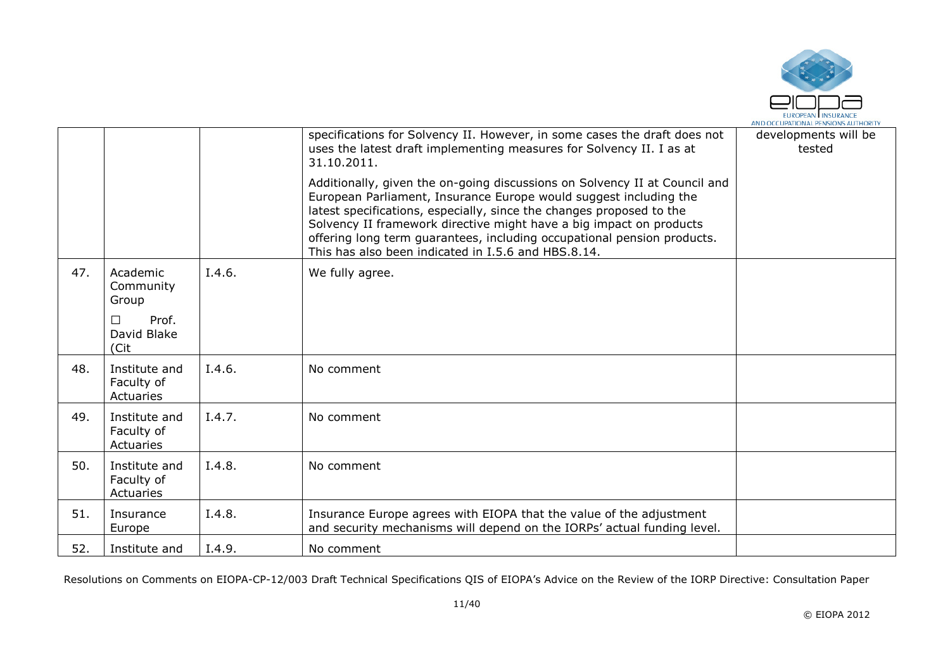

|     |                                          |        | specifications for Solvency II. However, in some cases the draft does not<br>uses the latest draft implementing measures for Solvency II. I as at<br>31.10.2011.                                                                                                                                                                                                                                                                 | developments will be<br>tested |
|-----|------------------------------------------|--------|----------------------------------------------------------------------------------------------------------------------------------------------------------------------------------------------------------------------------------------------------------------------------------------------------------------------------------------------------------------------------------------------------------------------------------|--------------------------------|
|     |                                          |        | Additionally, given the on-going discussions on Solvency II at Council and<br>European Parliament, Insurance Europe would suggest including the<br>latest specifications, especially, since the changes proposed to the<br>Solvency II framework directive might have a big impact on products<br>offering long term guarantees, including occupational pension products.<br>This has also been indicated in I.5.6 and HBS.8.14. |                                |
| 47. | Academic<br>Community<br>Group           | I.4.6. | We fully agree.                                                                                                                                                                                                                                                                                                                                                                                                                  |                                |
|     | Prof.<br>□<br>David Blake<br>(Cit        |        |                                                                                                                                                                                                                                                                                                                                                                                                                                  |                                |
| 48. | Institute and<br>Faculty of<br>Actuaries | I.4.6. | No comment                                                                                                                                                                                                                                                                                                                                                                                                                       |                                |
| 49. | Institute and<br>Faculty of<br>Actuaries | I.4.7. | No comment                                                                                                                                                                                                                                                                                                                                                                                                                       |                                |
| 50. | Institute and<br>Faculty of<br>Actuaries | I.4.8. | No comment                                                                                                                                                                                                                                                                                                                                                                                                                       |                                |
| 51. | Insurance<br>Europe                      | I.4.8. | Insurance Europe agrees with EIOPA that the value of the adjustment<br>and security mechanisms will depend on the IORPs' actual funding level.                                                                                                                                                                                                                                                                                   |                                |
| 52. | Institute and                            | I.4.9. | No comment                                                                                                                                                                                                                                                                                                                                                                                                                       |                                |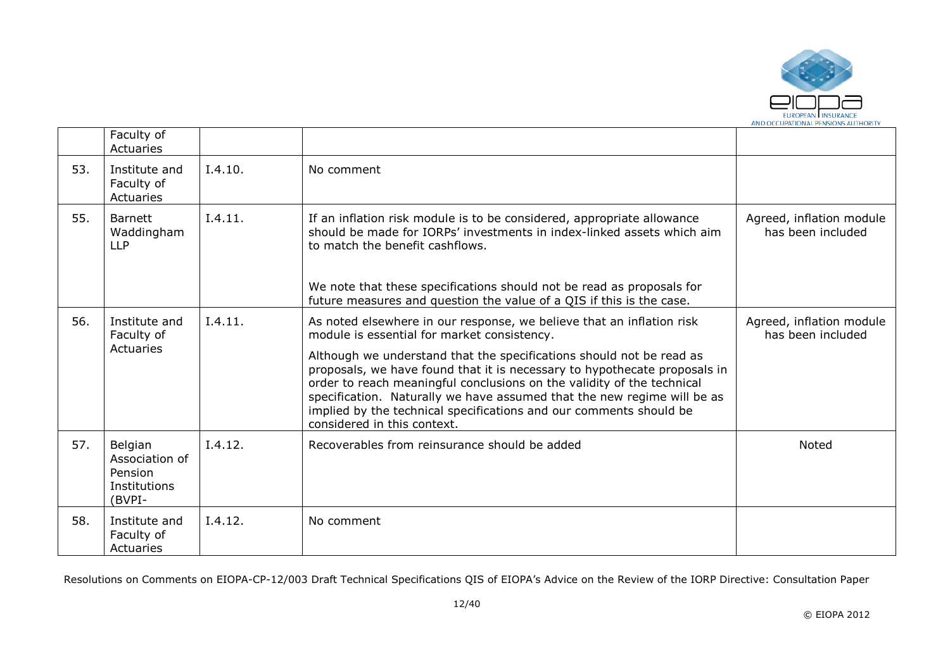

|     | Faculty of<br>Actuaries                                        |         |                                                                                                                                                                                                                                                                                                                                                                                                             |                                               |
|-----|----------------------------------------------------------------|---------|-------------------------------------------------------------------------------------------------------------------------------------------------------------------------------------------------------------------------------------------------------------------------------------------------------------------------------------------------------------------------------------------------------------|-----------------------------------------------|
| 53. | Institute and<br>Faculty of<br>Actuaries                       | I.4.10. | No comment                                                                                                                                                                                                                                                                                                                                                                                                  |                                               |
| 55. | <b>Barnett</b><br>Waddingham<br><b>LLP</b>                     | I.4.11. | If an inflation risk module is to be considered, appropriate allowance<br>should be made for IORPs' investments in index-linked assets which aim<br>to match the benefit cashflows.                                                                                                                                                                                                                         | Agreed, inflation module<br>has been included |
|     |                                                                |         | We note that these specifications should not be read as proposals for<br>future measures and question the value of a QIS if this is the case.                                                                                                                                                                                                                                                               |                                               |
| 56. | Institute and<br>Faculty of                                    | I.4.11. | As noted elsewhere in our response, we believe that an inflation risk<br>module is essential for market consistency.                                                                                                                                                                                                                                                                                        | Agreed, inflation module<br>has been included |
|     | Actuaries                                                      |         | Although we understand that the specifications should not be read as<br>proposals, we have found that it is necessary to hypothecate proposals in<br>order to reach meaningful conclusions on the validity of the technical<br>specification. Naturally we have assumed that the new regime will be as<br>implied by the technical specifications and our comments should be<br>considered in this context. |                                               |
| 57. | Belgian<br>Association of<br>Pension<br>Institutions<br>(BVPI- | I.4.12. | Recoverables from reinsurance should be added                                                                                                                                                                                                                                                                                                                                                               | Noted                                         |
| 58. | Institute and<br>Faculty of<br>Actuaries                       | I.4.12. | No comment                                                                                                                                                                                                                                                                                                                                                                                                  |                                               |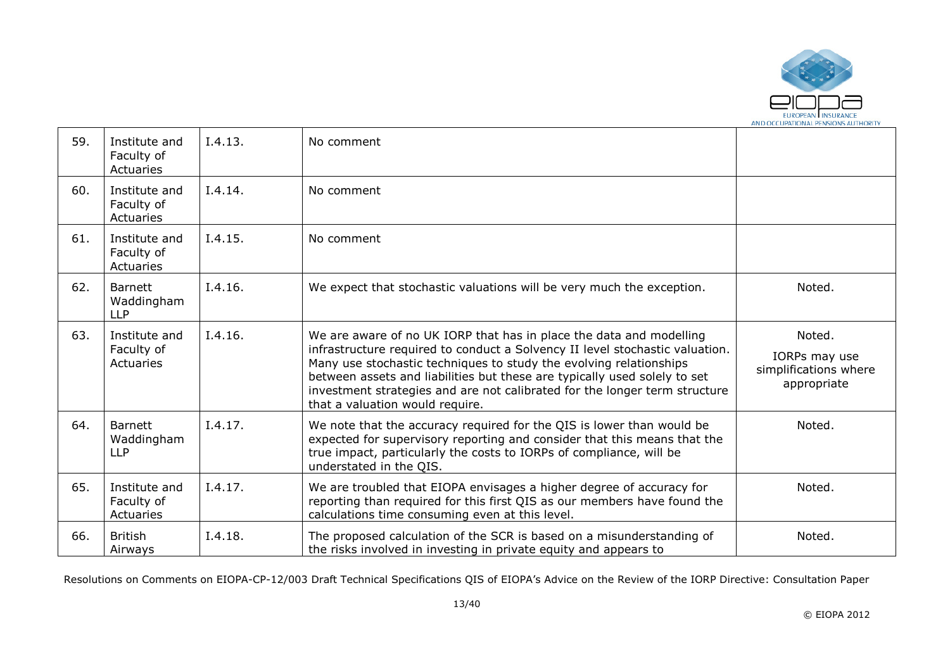

| 59. | Institute and<br>Faculty of<br>Actuaries   | I.4.13. | No comment                                                                                                                                                                                                                                                                                                                                                                                                              |                                                                 |
|-----|--------------------------------------------|---------|-------------------------------------------------------------------------------------------------------------------------------------------------------------------------------------------------------------------------------------------------------------------------------------------------------------------------------------------------------------------------------------------------------------------------|-----------------------------------------------------------------|
| 60. | Institute and<br>Faculty of<br>Actuaries   | I.4.14. | No comment                                                                                                                                                                                                                                                                                                                                                                                                              |                                                                 |
| 61. | Institute and<br>Faculty of<br>Actuaries   | I.4.15. | No comment                                                                                                                                                                                                                                                                                                                                                                                                              |                                                                 |
| 62. | <b>Barnett</b><br>Waddingham<br><b>LLP</b> | I.4.16. | We expect that stochastic valuations will be very much the exception.                                                                                                                                                                                                                                                                                                                                                   | Noted.                                                          |
| 63. | Institute and<br>Faculty of<br>Actuaries   | I.4.16. | We are aware of no UK IORP that has in place the data and modelling<br>infrastructure required to conduct a Solvency II level stochastic valuation.<br>Many use stochastic techniques to study the evolving relationships<br>between assets and liabilities but these are typically used solely to set<br>investment strategies and are not calibrated for the longer term structure<br>that a valuation would require. | Noted.<br>IORPs may use<br>simplifications where<br>appropriate |
| 64. | <b>Barnett</b><br>Waddingham<br><b>LLP</b> | I.4.17. | We note that the accuracy required for the QIS is lower than would be<br>expected for supervisory reporting and consider that this means that the<br>true impact, particularly the costs to IORPs of compliance, will be<br>understated in the QIS.                                                                                                                                                                     | Noted.                                                          |
| 65. | Institute and<br>Faculty of<br>Actuaries   | I.4.17. | We are troubled that EIOPA envisages a higher degree of accuracy for<br>reporting than required for this first QIS as our members have found the<br>calculations time consuming even at this level.                                                                                                                                                                                                                     | Noted.                                                          |
| 66. | <b>British</b><br>Airways                  | I.4.18. | The proposed calculation of the SCR is based on a misunderstanding of<br>the risks involved in investing in private equity and appears to                                                                                                                                                                                                                                                                               | Noted.                                                          |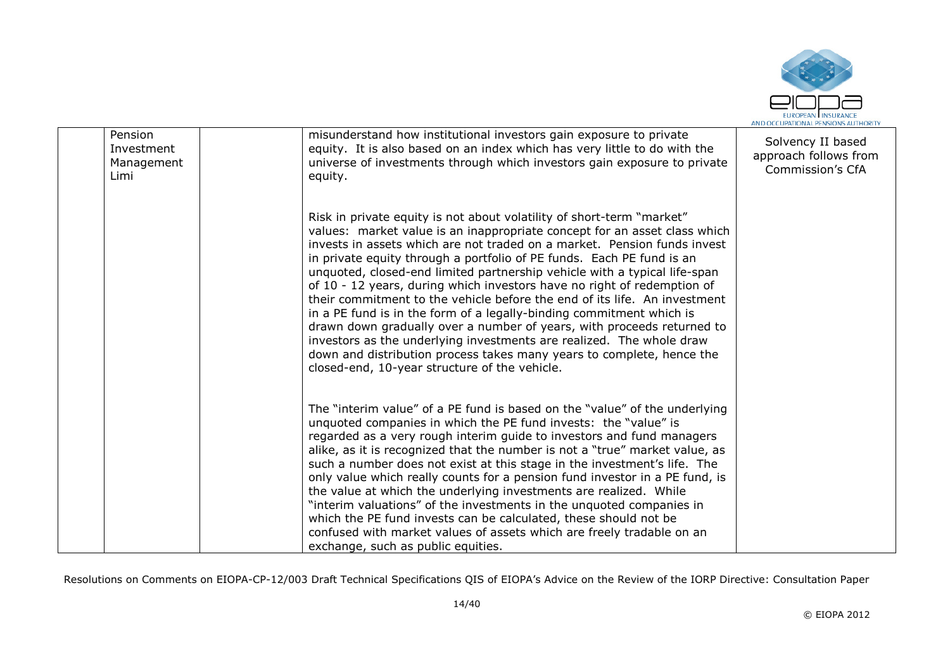

|                                             |                                                                                                                                                                                                                                                                                                                                                                                                                                                                                                                                                                                                                                                                                                                                                                                                                                                                                                  | AND OCCUPATIONAL PENSIONS AUTHORIT                                    |
|---------------------------------------------|--------------------------------------------------------------------------------------------------------------------------------------------------------------------------------------------------------------------------------------------------------------------------------------------------------------------------------------------------------------------------------------------------------------------------------------------------------------------------------------------------------------------------------------------------------------------------------------------------------------------------------------------------------------------------------------------------------------------------------------------------------------------------------------------------------------------------------------------------------------------------------------------------|-----------------------------------------------------------------------|
| Pension<br>Investment<br>Management<br>Limi | misunderstand how institutional investors gain exposure to private<br>equity. It is also based on an index which has very little to do with the<br>universe of investments through which investors gain exposure to private<br>equity.                                                                                                                                                                                                                                                                                                                                                                                                                                                                                                                                                                                                                                                           | Solvency II based<br>approach follows from<br><b>Commission's CfA</b> |
|                                             | Risk in private equity is not about volatility of short-term "market"<br>values: market value is an inappropriate concept for an asset class which<br>invests in assets which are not traded on a market. Pension funds invest<br>in private equity through a portfolio of PE funds. Each PE fund is an<br>unquoted, closed-end limited partnership vehicle with a typical life-span<br>of 10 - 12 years, during which investors have no right of redemption of<br>their commitment to the vehicle before the end of its life. An investment<br>in a PE fund is in the form of a legally-binding commitment which is<br>drawn down gradually over a number of years, with proceeds returned to<br>investors as the underlying investments are realized. The whole draw<br>down and distribution process takes many years to complete, hence the<br>closed-end, 10-year structure of the vehicle. |                                                                       |
|                                             | The "interim value" of a PE fund is based on the "value" of the underlying<br>unquoted companies in which the PE fund invests: the "value" is<br>regarded as a very rough interim guide to investors and fund managers<br>alike, as it is recognized that the number is not a "true" market value, as<br>such a number does not exist at this stage in the investment's life. The<br>only value which really counts for a pension fund investor in a PE fund, is<br>the value at which the underlying investments are realized. While<br>"interim valuations" of the investments in the unquoted companies in<br>which the PE fund invests can be calculated, these should not be<br>confused with market values of assets which are freely tradable on an<br>exchange, such as public equities.                                                                                                 |                                                                       |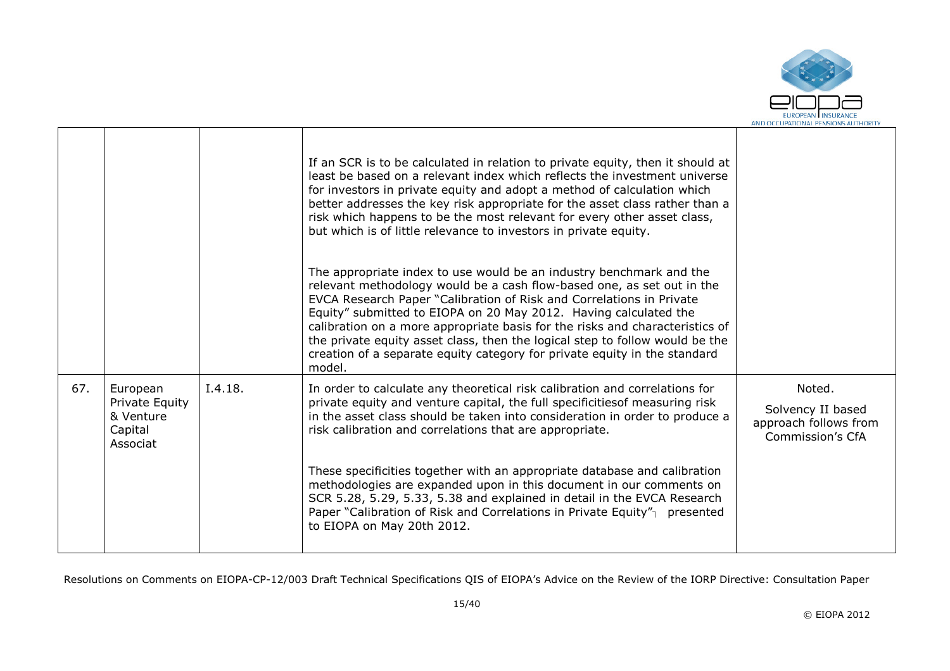

|     |                                                                |         | If an SCR is to be calculated in relation to private equity, then it should at<br>least be based on a relevant index which reflects the investment universe<br>for investors in private equity and adopt a method of calculation which<br>better addresses the key risk appropriate for the asset class rather than a<br>risk which happens to be the most relevant for every other asset class,<br>but which is of little relevance to investors in private equity.                                                                                                                                                                                   |                                                                          |
|-----|----------------------------------------------------------------|---------|--------------------------------------------------------------------------------------------------------------------------------------------------------------------------------------------------------------------------------------------------------------------------------------------------------------------------------------------------------------------------------------------------------------------------------------------------------------------------------------------------------------------------------------------------------------------------------------------------------------------------------------------------------|--------------------------------------------------------------------------|
|     |                                                                |         | The appropriate index to use would be an industry benchmark and the<br>relevant methodology would be a cash flow-based one, as set out in the<br>EVCA Research Paper "Calibration of Risk and Correlations in Private<br>Equity" submitted to EIOPA on 20 May 2012. Having calculated the<br>calibration on a more appropriate basis for the risks and characteristics of<br>the private equity asset class, then the logical step to follow would be the<br>creation of a separate equity category for private equity in the standard<br>model.                                                                                                       |                                                                          |
| 67. | European<br>Private Equity<br>& Venture<br>Capital<br>Associat | I.4.18. | In order to calculate any theoretical risk calibration and correlations for<br>private equity and venture capital, the full specificitiesof measuring risk<br>in the asset class should be taken into consideration in order to produce a<br>risk calibration and correlations that are appropriate.<br>These specificities together with an appropriate database and calibration<br>methodologies are expanded upon in this document in our comments on<br>SCR 5.28, 5.29, 5.33, 5.38 and explained in detail in the EVCA Research<br>Paper "Calibration of Risk and Correlations in Private Equity" $\gamma$ presented<br>to EIOPA on May 20th 2012. | Noted.<br>Solvency II based<br>approach follows from<br>Commission's CfA |

 $\blacksquare$ 

┱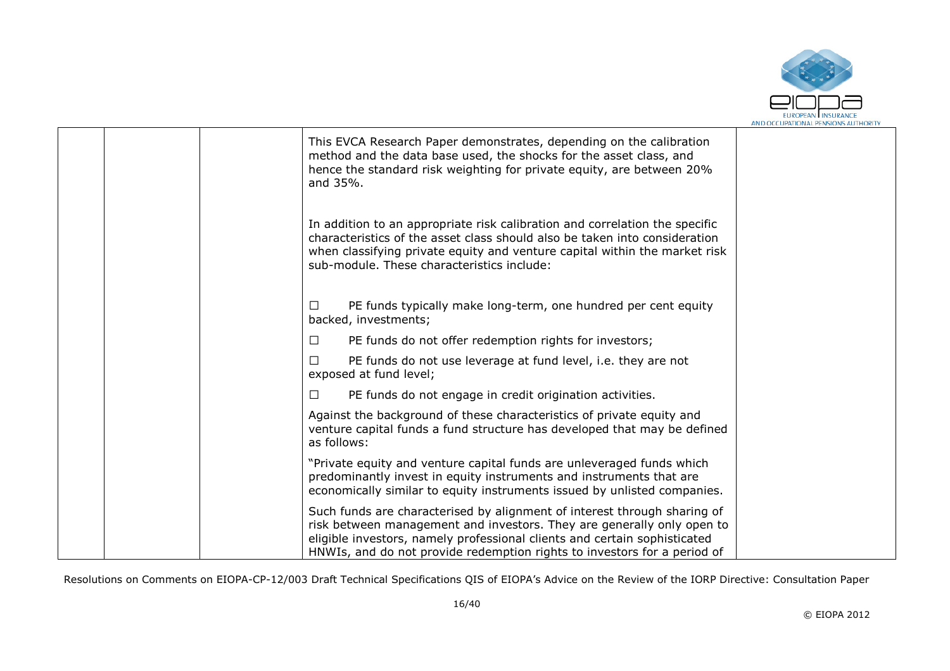

|  | This EVCA Research Paper demonstrates, depending on the calibration<br>method and the data base used, the shocks for the asset class, and<br>hence the standard risk weighting for private equity, are between 20%<br>and 35%.                                                                              |  |
|--|-------------------------------------------------------------------------------------------------------------------------------------------------------------------------------------------------------------------------------------------------------------------------------------------------------------|--|
|  | In addition to an appropriate risk calibration and correlation the specific<br>characteristics of the asset class should also be taken into consideration<br>when classifying private equity and venture capital within the market risk<br>sub-module. These characteristics include:                       |  |
|  | PE funds typically make long-term, one hundred per cent equity<br>□<br>backed, investments;                                                                                                                                                                                                                 |  |
|  | PE funds do not offer redemption rights for investors;<br>□                                                                                                                                                                                                                                                 |  |
|  | PE funds do not use leverage at fund level, i.e. they are not<br>п<br>exposed at fund level;                                                                                                                                                                                                                |  |
|  | PE funds do not engage in credit origination activities.<br>□                                                                                                                                                                                                                                               |  |
|  | Against the background of these characteristics of private equity and<br>venture capital funds a fund structure has developed that may be defined<br>as follows:                                                                                                                                            |  |
|  | "Private equity and venture capital funds are unleveraged funds which<br>predominantly invest in equity instruments and instruments that are<br>economically similar to equity instruments issued by unlisted companies.                                                                                    |  |
|  | Such funds are characterised by alignment of interest through sharing of<br>risk between management and investors. They are generally only open to<br>eligible investors, namely professional clients and certain sophisticated<br>HNWIs, and do not provide redemption rights to investors for a period of |  |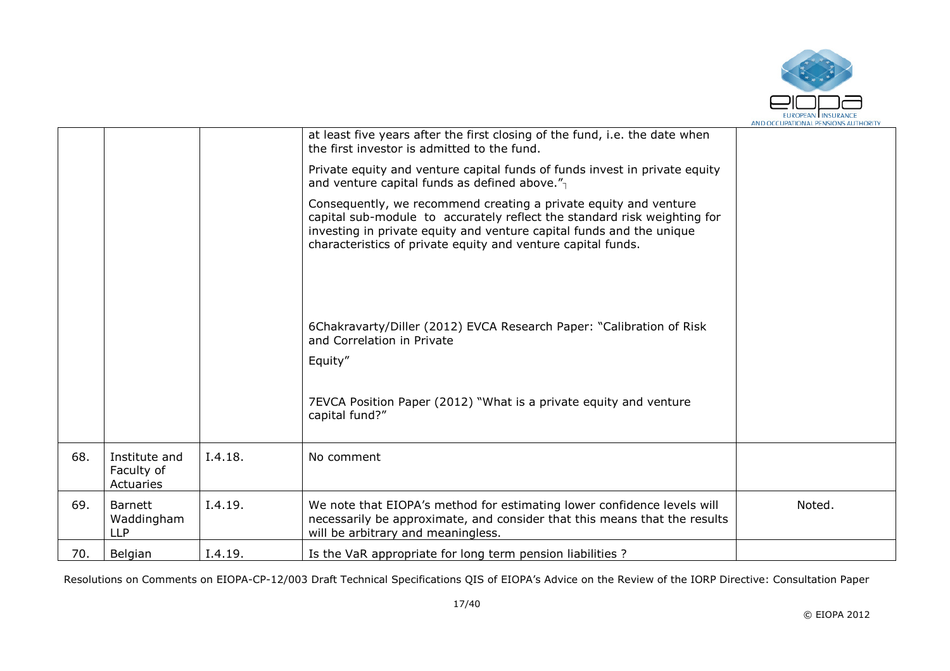

|     |                                            |         | at least five years after the first closing of the fund, i.e. the date when<br>the first investor is admitted to the fund.                                                                                                                                                           |        |
|-----|--------------------------------------------|---------|--------------------------------------------------------------------------------------------------------------------------------------------------------------------------------------------------------------------------------------------------------------------------------------|--------|
|     |                                            |         | Private equity and venture capital funds of funds invest in private equity<br>and venture capital funds as defined above."                                                                                                                                                           |        |
|     |                                            |         | Consequently, we recommend creating a private equity and venture<br>capital sub-module to accurately reflect the standard risk weighting for<br>investing in private equity and venture capital funds and the unique<br>characteristics of private equity and venture capital funds. |        |
|     |                                            |         | 6Chakravarty/Diller (2012) EVCA Research Paper: "Calibration of Risk<br>and Correlation in Private                                                                                                                                                                                   |        |
|     |                                            |         | Equity"                                                                                                                                                                                                                                                                              |        |
|     |                                            |         | 7EVCA Position Paper (2012) "What is a private equity and venture<br>capital fund?"                                                                                                                                                                                                  |        |
| 68. | Institute and<br>Faculty of<br>Actuaries   | I.4.18. | No comment                                                                                                                                                                                                                                                                           |        |
| 69. | <b>Barnett</b><br>Waddingham<br><b>LLP</b> | I.4.19. | We note that EIOPA's method for estimating lower confidence levels will<br>necessarily be approximate, and consider that this means that the results<br>will be arbitrary and meaningless.                                                                                           | Noted. |
| 70. | Belgian                                    | I.4.19. | Is the VaR appropriate for long term pension liabilities ?                                                                                                                                                                                                                           |        |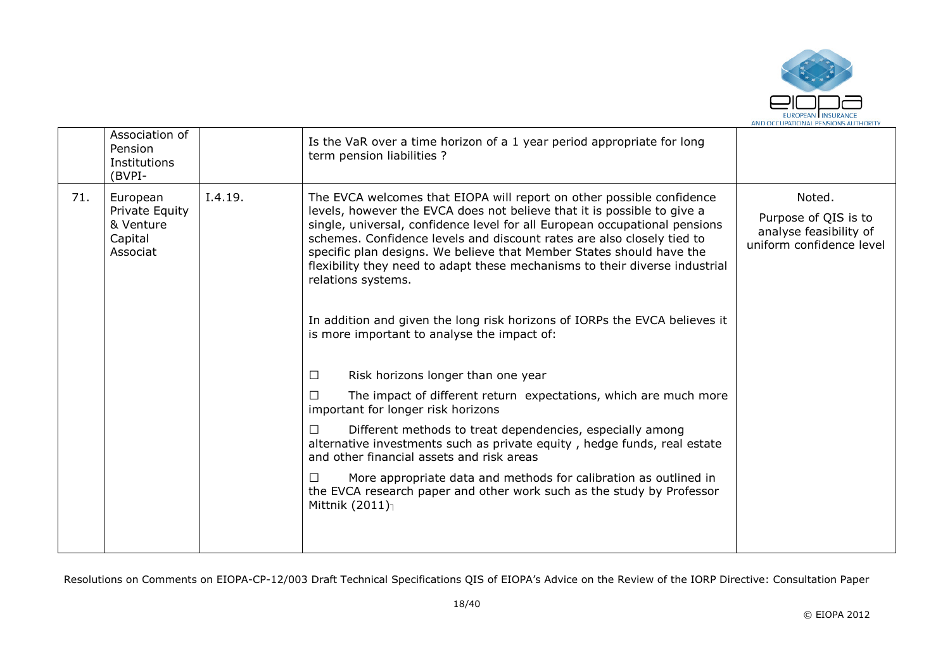

| I.4.19.<br>71.<br>The EVCA welcomes that EIOPA will report on other possible confidence<br>Noted.<br>European<br>levels, however the EVCA does not believe that it is possible to give a<br>Private Equity<br>single, universal, confidence level for all European occupational pensions<br>& Venture<br>schemes. Confidence levels and discount rates are also closely tied to<br>Capital<br>specific plan designs. We believe that Member States should have the<br>Associat<br>flexibility they need to adapt these mechanisms to their diverse industrial<br>relations systems.<br>In addition and given the long risk horizons of IORPs the EVCA believes it<br>is more important to analyse the impact of: | Association of<br>Pension<br>Institutions<br>(BVPI- | Is the VaR over a time horizon of a 1 year period appropriate for long<br>term pension liabilities ? |                                                                            |
|------------------------------------------------------------------------------------------------------------------------------------------------------------------------------------------------------------------------------------------------------------------------------------------------------------------------------------------------------------------------------------------------------------------------------------------------------------------------------------------------------------------------------------------------------------------------------------------------------------------------------------------------------------------------------------------------------------------|-----------------------------------------------------|------------------------------------------------------------------------------------------------------|----------------------------------------------------------------------------|
| Risk horizons longer than one year<br>$\perp$<br>The impact of different return expectations, which are much more<br>important for longer risk horizons<br>Different methods to treat dependencies, especially among<br>alternative investments such as private equity, hedge funds, real estate<br>and other financial assets and risk areas<br>More appropriate data and methods for calibration as outlined in<br>the EVCA research paper and other work such as the study by Professor<br>Mittnik $(2011)_1$                                                                                                                                                                                                 |                                                     |                                                                                                      | Purpose of QIS is to<br>analyse feasibility of<br>uniform confidence level |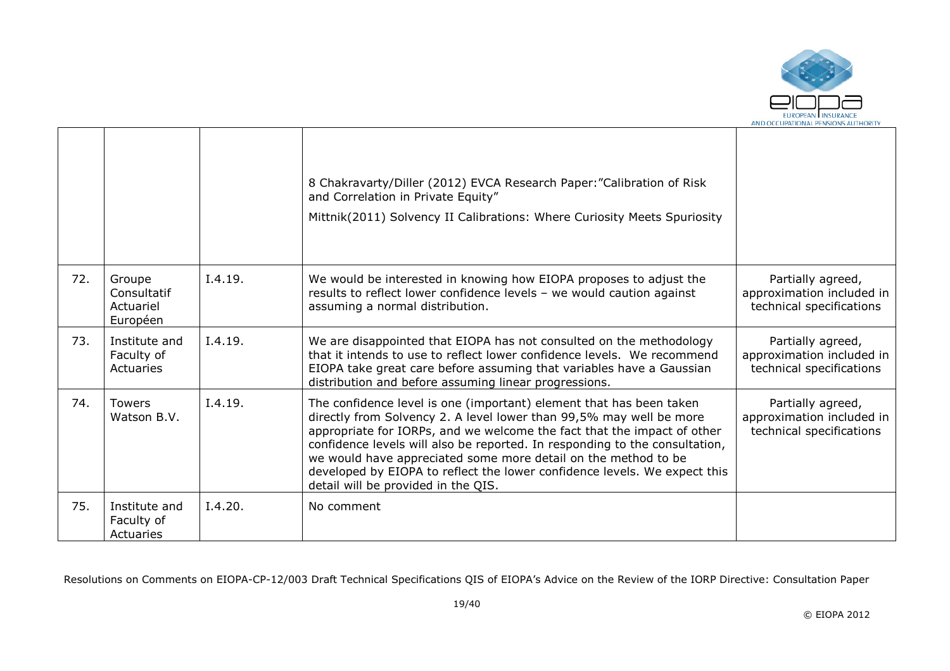

|     |                                                |         | 8 Chakravarty/Diller (2012) EVCA Research Paper: "Calibration of Risk<br>and Correlation in Private Equity"<br>Mittnik(2011) Solvency II Calibrations: Where Curiosity Meets Spuriosity                                                                                                                                                                                                                                                                                                    |                                                                            |
|-----|------------------------------------------------|---------|--------------------------------------------------------------------------------------------------------------------------------------------------------------------------------------------------------------------------------------------------------------------------------------------------------------------------------------------------------------------------------------------------------------------------------------------------------------------------------------------|----------------------------------------------------------------------------|
| 72. | Groupe<br>Consultatif<br>Actuariel<br>Européen | I.4.19. | We would be interested in knowing how EIOPA proposes to adjust the<br>results to reflect lower confidence levels - we would caution against<br>assuming a normal distribution.                                                                                                                                                                                                                                                                                                             | Partially agreed,<br>approximation included in<br>technical specifications |
| 73. | Institute and<br>Faculty of<br>Actuaries       | I.4.19. | We are disappointed that EIOPA has not consulted on the methodology<br>that it intends to use to reflect lower confidence levels. We recommend<br>EIOPA take great care before assuming that variables have a Gaussian<br>distribution and before assuming linear progressions.                                                                                                                                                                                                            | Partially agreed,<br>approximation included in<br>technical specifications |
| 74. | <b>Towers</b><br>Watson B.V.                   | I.4.19. | The confidence level is one (important) element that has been taken<br>directly from Solvency 2. A level lower than 99,5% may well be more<br>appropriate for IORPs, and we welcome the fact that the impact of other<br>confidence levels will also be reported. In responding to the consultation,<br>we would have appreciated some more detail on the method to be<br>developed by EIOPA to reflect the lower confidence levels. We expect this<br>detail will be provided in the QIS. | Partially agreed,<br>approximation included in<br>technical specifications |
| 75. | Institute and<br>Faculty of<br>Actuaries       | I.4.20. | No comment                                                                                                                                                                                                                                                                                                                                                                                                                                                                                 |                                                                            |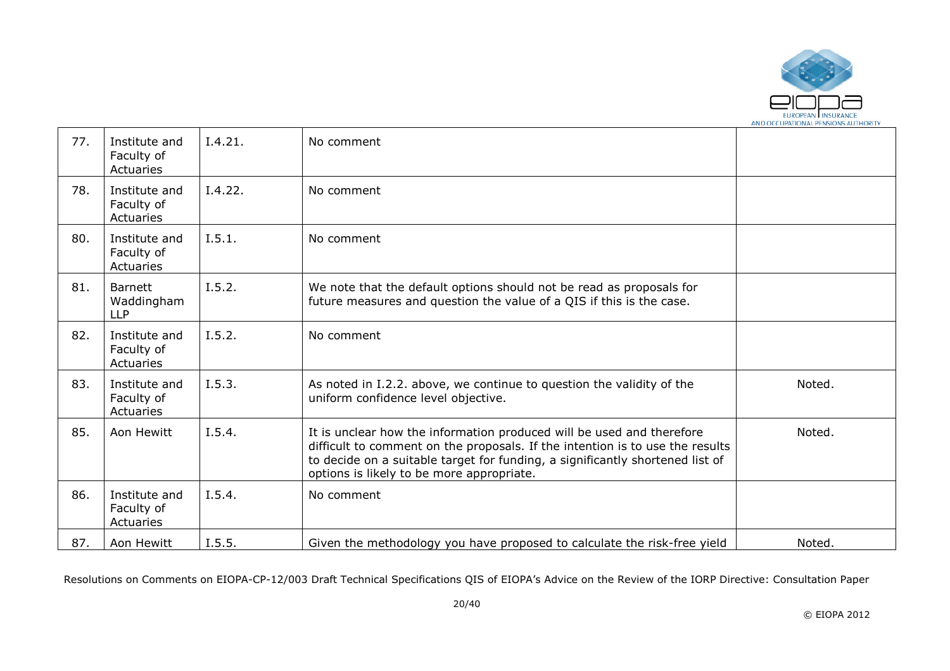

| 77. | Institute and<br>Faculty of<br>Actuaries   | I.4.21. | No comment                                                                                                                                                                                                                                                                           |        |
|-----|--------------------------------------------|---------|--------------------------------------------------------------------------------------------------------------------------------------------------------------------------------------------------------------------------------------------------------------------------------------|--------|
| 78. | Institute and<br>Faculty of<br>Actuaries   | I.4.22. | No comment                                                                                                                                                                                                                                                                           |        |
| 80. | Institute and<br>Faculty of<br>Actuaries   | I.5.1.  | No comment                                                                                                                                                                                                                                                                           |        |
| 81. | <b>Barnett</b><br>Waddingham<br><b>LLP</b> | I.5.2.  | We note that the default options should not be read as proposals for<br>future measures and question the value of a QIS if this is the case.                                                                                                                                         |        |
| 82. | Institute and<br>Faculty of<br>Actuaries   | I.5.2.  | No comment                                                                                                                                                                                                                                                                           |        |
| 83. | Institute and<br>Faculty of<br>Actuaries   | I.5.3.  | As noted in I.2.2. above, we continue to question the validity of the<br>uniform confidence level objective.                                                                                                                                                                         | Noted. |
| 85. | Aon Hewitt                                 | I.5.4.  | It is unclear how the information produced will be used and therefore<br>difficult to comment on the proposals. If the intention is to use the results<br>to decide on a suitable target for funding, a significantly shortened list of<br>options is likely to be more appropriate. | Noted. |
| 86. | Institute and<br>Faculty of<br>Actuaries   | I.5.4.  | No comment                                                                                                                                                                                                                                                                           |        |
| 87. | Aon Hewitt                                 | I.5.5.  | Given the methodology you have proposed to calculate the risk-free yield                                                                                                                                                                                                             | Noted. |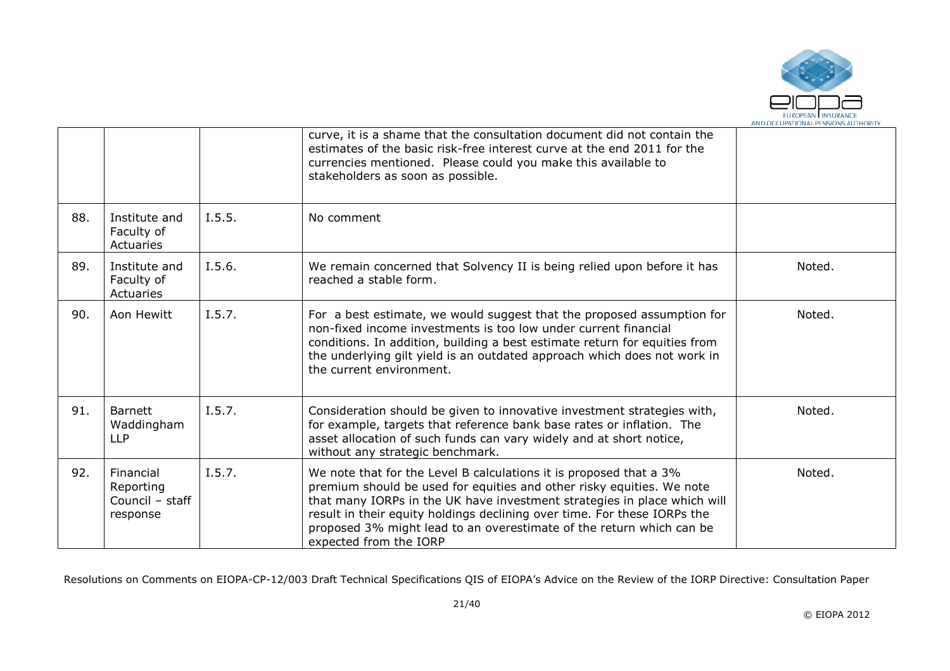

|     |                                                       |        | curve, it is a shame that the consultation document did not contain the<br>estimates of the basic risk-free interest curve at the end 2011 for the<br>currencies mentioned. Please could you make this available to<br>stakeholders as soon as possible.                                                                                                                                              |        |
|-----|-------------------------------------------------------|--------|-------------------------------------------------------------------------------------------------------------------------------------------------------------------------------------------------------------------------------------------------------------------------------------------------------------------------------------------------------------------------------------------------------|--------|
| 88. | Institute and<br>Faculty of<br>Actuaries              | I.5.5. | No comment                                                                                                                                                                                                                                                                                                                                                                                            |        |
| 89. | Institute and<br>Faculty of<br>Actuaries              | I.5.6. | We remain concerned that Solvency II is being relied upon before it has<br>reached a stable form.                                                                                                                                                                                                                                                                                                     | Noted. |
| 90. | Aon Hewitt                                            | I.5.7. | For a best estimate, we would suggest that the proposed assumption for<br>non-fixed income investments is too low under current financial<br>conditions. In addition, building a best estimate return for equities from<br>the underlying gilt yield is an outdated approach which does not work in<br>the current environment.                                                                       | Noted. |
| 91. | <b>Barnett</b><br>Waddingham<br><b>LLP</b>            | I.5.7. | Consideration should be given to innovative investment strategies with,<br>for example, targets that reference bank base rates or inflation. The<br>asset allocation of such funds can vary widely and at short notice,<br>without any strategic benchmark.                                                                                                                                           | Noted. |
| 92. | Financial<br>Reporting<br>Council - staff<br>response | I.5.7. | We note that for the Level B calculations it is proposed that a 3%<br>premium should be used for equities and other risky equities. We note<br>that many IORPs in the UK have investment strategies in place which will<br>result in their equity holdings declining over time. For these IORPs the<br>proposed 3% might lead to an overestimate of the return which can be<br>expected from the IORP | Noted. |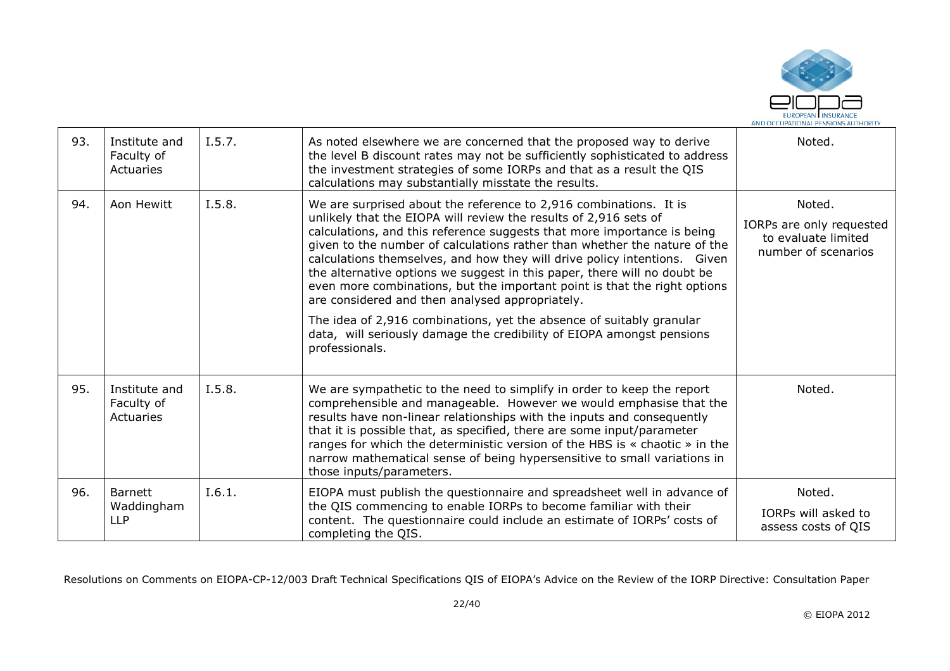

| 93. | Institute and<br>Faculty of<br>Actuaries   | I.5.7. | As noted elsewhere we are concerned that the proposed way to derive<br>the level B discount rates may not be sufficiently sophisticated to address<br>the investment strategies of some IORPs and that as a result the QIS<br>calculations may substantially misstate the results.                                                                                                                                                                                                                                                                                                                                                                                                                                                                        | Noted.                                                                           |
|-----|--------------------------------------------|--------|-----------------------------------------------------------------------------------------------------------------------------------------------------------------------------------------------------------------------------------------------------------------------------------------------------------------------------------------------------------------------------------------------------------------------------------------------------------------------------------------------------------------------------------------------------------------------------------------------------------------------------------------------------------------------------------------------------------------------------------------------------------|----------------------------------------------------------------------------------|
| 94. | Aon Hewitt                                 | I.5.8. | We are surprised about the reference to 2,916 combinations. It is<br>unlikely that the EIOPA will review the results of 2,916 sets of<br>calculations, and this reference suggests that more importance is being<br>given to the number of calculations rather than whether the nature of the<br>calculations themselves, and how they will drive policy intentions. Given<br>the alternative options we suggest in this paper, there will no doubt be<br>even more combinations, but the important point is that the right options<br>are considered and then analysed appropriately.<br>The idea of 2,916 combinations, yet the absence of suitably granular<br>data, will seriously damage the credibility of EIOPA amongst pensions<br>professionals. | Noted.<br>IORPs are only requested<br>to evaluate limited<br>number of scenarios |
| 95. | Institute and<br>Faculty of<br>Actuaries   | I.5.8. | We are sympathetic to the need to simplify in order to keep the report<br>comprehensible and manageable. However we would emphasise that the<br>results have non-linear relationships with the inputs and consequently<br>that it is possible that, as specified, there are some input/parameter<br>ranges for which the deterministic version of the HBS is « chaotic » in the<br>narrow mathematical sense of being hypersensitive to small variations in<br>those inputs/parameters.                                                                                                                                                                                                                                                                   | Noted.                                                                           |
| 96. | <b>Barnett</b><br>Waddingham<br><b>LLP</b> | I.6.1. | EIOPA must publish the questionnaire and spreadsheet well in advance of<br>the QIS commencing to enable IORPs to become familiar with their<br>content. The questionnaire could include an estimate of IORPs' costs of<br>completing the QIS.                                                                                                                                                                                                                                                                                                                                                                                                                                                                                                             | Noted.<br>IORPs will asked to<br>assess costs of QIS                             |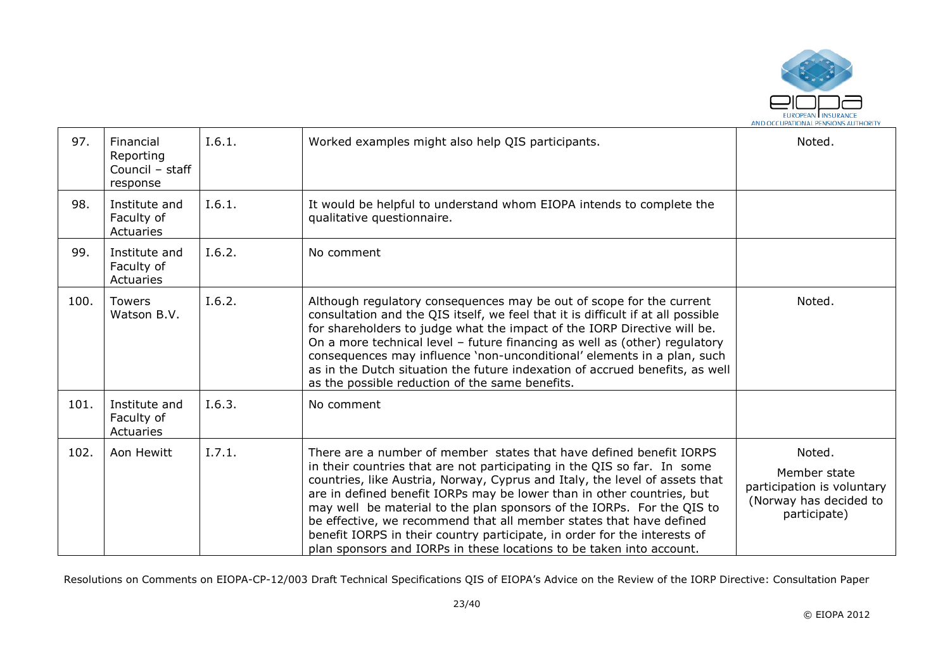

| 97.  | Financial<br>Reporting<br>Council - staff<br>response | I.6.1. | Worked examples might also help QIS participants.                                                                                                                                                                                                                                                                                                                                                                                                                                                                                                                                                              | Noted.                                                                                         |
|------|-------------------------------------------------------|--------|----------------------------------------------------------------------------------------------------------------------------------------------------------------------------------------------------------------------------------------------------------------------------------------------------------------------------------------------------------------------------------------------------------------------------------------------------------------------------------------------------------------------------------------------------------------------------------------------------------------|------------------------------------------------------------------------------------------------|
| 98.  | Institute and<br>Faculty of<br>Actuaries              | I.6.1. | It would be helpful to understand whom EIOPA intends to complete the<br>qualitative questionnaire.                                                                                                                                                                                                                                                                                                                                                                                                                                                                                                             |                                                                                                |
| 99.  | Institute and<br>Faculty of<br>Actuaries              | I.6.2. | No comment                                                                                                                                                                                                                                                                                                                                                                                                                                                                                                                                                                                                     |                                                                                                |
| 100. | <b>Towers</b><br>Watson B.V.                          | I.6.2. | Although regulatory consequences may be out of scope for the current<br>consultation and the QIS itself, we feel that it is difficult if at all possible<br>for shareholders to judge what the impact of the IORP Directive will be.<br>On a more technical level - future financing as well as (other) regulatory<br>consequences may influence 'non-unconditional' elements in a plan, such<br>as in the Dutch situation the future indexation of accrued benefits, as well<br>as the possible reduction of the same benefits.                                                                               | Noted.                                                                                         |
| 101. | Institute and<br>Faculty of<br>Actuaries              | I.6.3. | No comment                                                                                                                                                                                                                                                                                                                                                                                                                                                                                                                                                                                                     |                                                                                                |
| 102. | Aon Hewitt                                            | I.7.1. | There are a number of member states that have defined benefit IORPS<br>in their countries that are not participating in the QIS so far. In some<br>countries, like Austria, Norway, Cyprus and Italy, the level of assets that<br>are in defined benefit IORPs may be lower than in other countries, but<br>may well be material to the plan sponsors of the IORPs. For the QIS to<br>be effective, we recommend that all member states that have defined<br>benefit IORPS in their country participate, in order for the interests of<br>plan sponsors and IORPs in these locations to be taken into account. | Noted.<br>Member state<br>participation is voluntary<br>(Norway has decided to<br>participate) |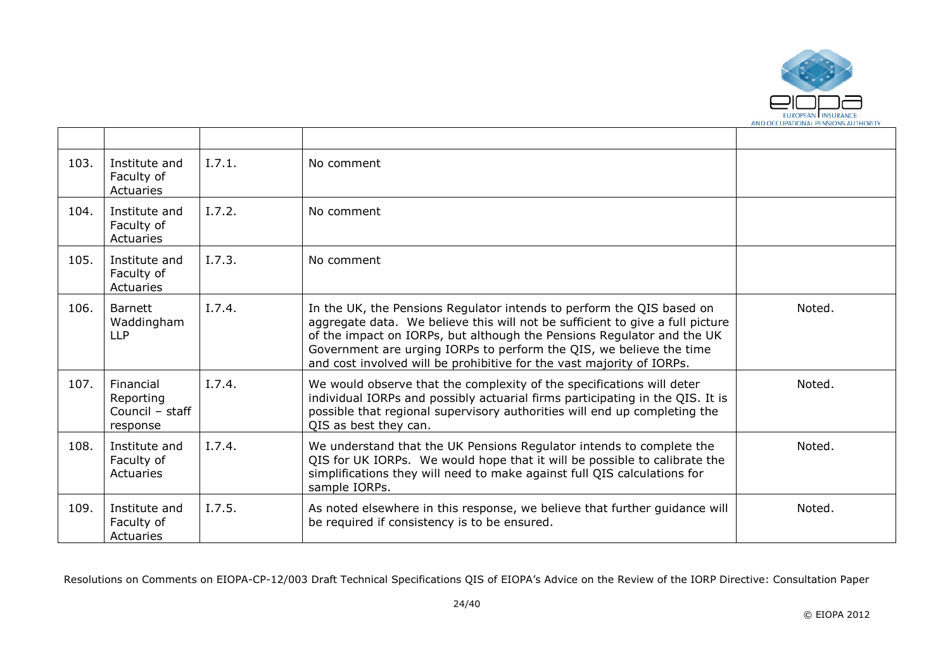

| 103. | Institute and<br>Faculty of<br>Actuaries              | I.7.1. | No comment                                                                                                                                                                                                                                                                                                                                                                       |        |
|------|-------------------------------------------------------|--------|----------------------------------------------------------------------------------------------------------------------------------------------------------------------------------------------------------------------------------------------------------------------------------------------------------------------------------------------------------------------------------|--------|
| 104. | Institute and<br>Faculty of<br>Actuaries              | I.7.2. | No comment                                                                                                                                                                                                                                                                                                                                                                       |        |
| 105. | Institute and<br>Faculty of<br>Actuaries              | I.7.3. | No comment                                                                                                                                                                                                                                                                                                                                                                       |        |
| 106. | <b>Barnett</b><br>Waddingham<br><b>LLP</b>            | I.7.4. | In the UK, the Pensions Regulator intends to perform the QIS based on<br>aggregate data. We believe this will not be sufficient to give a full picture<br>of the impact on IORPs, but although the Pensions Regulator and the UK<br>Government are urging IORPs to perform the QIS, we believe the time<br>and cost involved will be prohibitive for the vast majority of IORPs. | Noted. |
| 107. | Financial<br>Reporting<br>Council - staff<br>response | I.7.4. | We would observe that the complexity of the specifications will deter<br>individual IORPs and possibly actuarial firms participating in the QIS. It is<br>possible that regional supervisory authorities will end up completing the<br>QIS as best they can.                                                                                                                     | Noted. |
| 108. | Institute and<br>Faculty of<br>Actuaries              | I.7.4. | We understand that the UK Pensions Regulator intends to complete the<br>QIS for UK IORPs. We would hope that it will be possible to calibrate the<br>simplifications they will need to make against full QIS calculations for<br>sample IORPs.                                                                                                                                   | Noted. |
| 109. | Institute and<br>Faculty of<br>Actuaries              | I.7.5. | As noted elsewhere in this response, we believe that further guidance will<br>be required if consistency is to be ensured.                                                                                                                                                                                                                                                       | Noted. |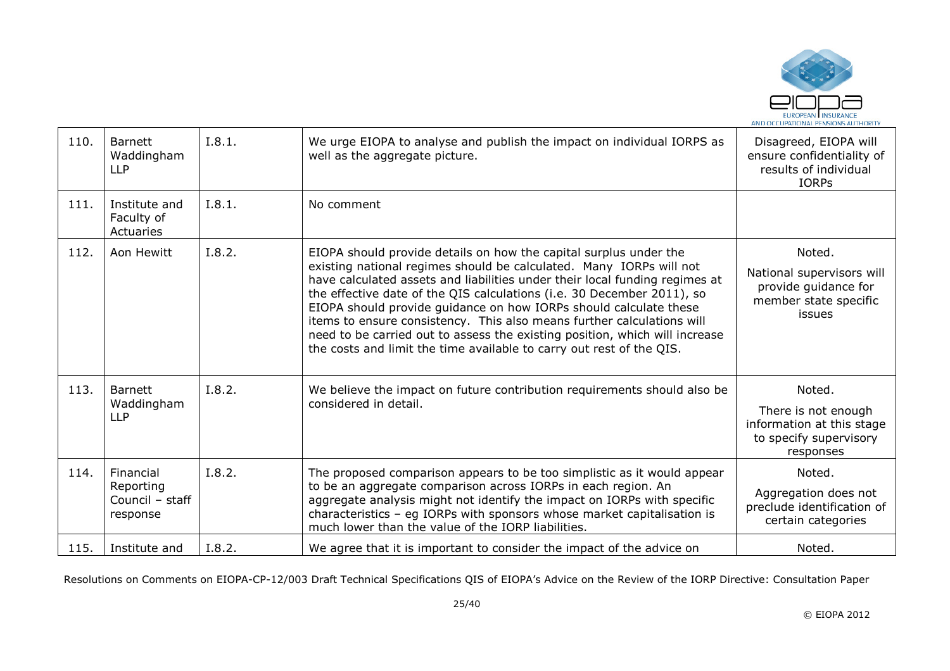

| 110. | <b>Barnett</b><br>Waddingham<br><b>LLP</b>            | I.8.1. | We urge EIOPA to analyse and publish the impact on individual IORPS as<br>well as the aggregate picture.                                                                                                                                                                                                                                                                                                                                                                                                                                                                                                | Disagreed, EIOPA will<br>ensure confidentiality of<br>results of individual<br><b>IORPS</b>           |
|------|-------------------------------------------------------|--------|---------------------------------------------------------------------------------------------------------------------------------------------------------------------------------------------------------------------------------------------------------------------------------------------------------------------------------------------------------------------------------------------------------------------------------------------------------------------------------------------------------------------------------------------------------------------------------------------------------|-------------------------------------------------------------------------------------------------------|
| 111. | Institute and<br>Faculty of<br>Actuaries              | I.8.1. | No comment                                                                                                                                                                                                                                                                                                                                                                                                                                                                                                                                                                                              |                                                                                                       |
| 112. | Aon Hewitt                                            | I.8.2. | EIOPA should provide details on how the capital surplus under the<br>existing national regimes should be calculated. Many IORPs will not<br>have calculated assets and liabilities under their local funding regimes at<br>the effective date of the QIS calculations (i.e. 30 December 2011), so<br>EIOPA should provide guidance on how IORPs should calculate these<br>items to ensure consistency. This also means further calculations will<br>need to be carried out to assess the existing position, which will increase<br>the costs and limit the time available to carry out rest of the QIS. | Noted.<br>National supervisors will<br>provide guidance for<br>member state specific<br><i>issues</i> |
| 113. | Barnett<br>Waddingham<br><b>LLP</b>                   | I.8.2. | We believe the impact on future contribution requirements should also be<br>considered in detail.                                                                                                                                                                                                                                                                                                                                                                                                                                                                                                       | Noted.<br>There is not enough<br>information at this stage<br>to specify supervisory<br>responses     |
| 114. | Financial<br>Reporting<br>Council - staff<br>response | I.8.2. | The proposed comparison appears to be too simplistic as it would appear<br>to be an aggregate comparison across IORPs in each region. An<br>aggregate analysis might not identify the impact on IORPs with specific<br>characteristics - eg IORPs with sponsors whose market capitalisation is<br>much lower than the value of the IORP liabilities.                                                                                                                                                                                                                                                    | Noted.<br>Aggregation does not<br>preclude identification of<br>certain categories                    |
| 115. | Institute and                                         | I.8.2. | We agree that it is important to consider the impact of the advice on                                                                                                                                                                                                                                                                                                                                                                                                                                                                                                                                   | Noted.                                                                                                |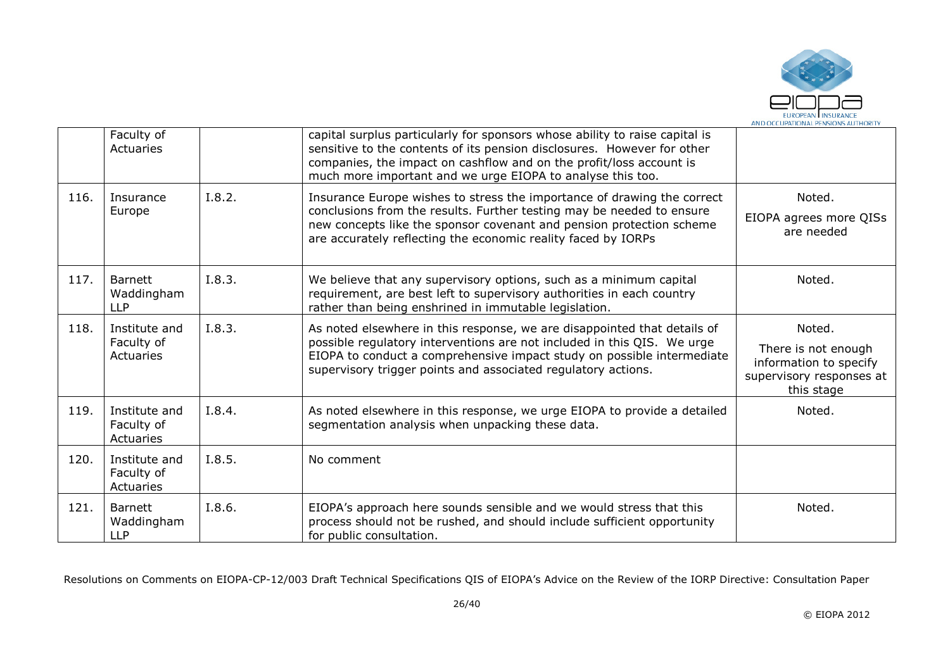

|      | Faculty of<br>Actuaries                    |        | capital surplus particularly for sponsors whose ability to raise capital is<br>sensitive to the contents of its pension disclosures. However for other<br>companies, the impact on cashflow and on the profit/loss account is<br>much more important and we urge EIOPA to analyse this too.    |                                                                                                   |
|------|--------------------------------------------|--------|------------------------------------------------------------------------------------------------------------------------------------------------------------------------------------------------------------------------------------------------------------------------------------------------|---------------------------------------------------------------------------------------------------|
| 116. | Insurance<br>Europe                        | I.8.2. | Insurance Europe wishes to stress the importance of drawing the correct<br>conclusions from the results. Further testing may be needed to ensure<br>new concepts like the sponsor covenant and pension protection scheme<br>are accurately reflecting the economic reality faced by IORPs      | Noted.<br>EIOPA agrees more QISs<br>are needed                                                    |
| 117. | <b>Barnett</b><br>Waddingham<br><b>LLP</b> | I.8.3. | We believe that any supervisory options, such as a minimum capital<br>requirement, are best left to supervisory authorities in each country<br>rather than being enshrined in immutable legislation.                                                                                           | Noted.                                                                                            |
| 118. | Institute and<br>Faculty of<br>Actuaries   | I.8.3. | As noted elsewhere in this response, we are disappointed that details of<br>possible regulatory interventions are not included in this QIS. We urge<br>EIOPA to conduct a comprehensive impact study on possible intermediate<br>supervisory trigger points and associated regulatory actions. | Noted.<br>There is not enough<br>information to specify<br>supervisory responses at<br>this stage |
| 119. | Institute and<br>Faculty of<br>Actuaries   | I.8.4. | As noted elsewhere in this response, we urge EIOPA to provide a detailed<br>segmentation analysis when unpacking these data.                                                                                                                                                                   | Noted.                                                                                            |
| 120. | Institute and<br>Faculty of<br>Actuaries   | I.8.5. | No comment                                                                                                                                                                                                                                                                                     |                                                                                                   |
| 121. | <b>Barnett</b><br>Waddingham<br><b>LLP</b> | I.8.6. | EIOPA's approach here sounds sensible and we would stress that this<br>process should not be rushed, and should include sufficient opportunity<br>for public consultation.                                                                                                                     | Noted.                                                                                            |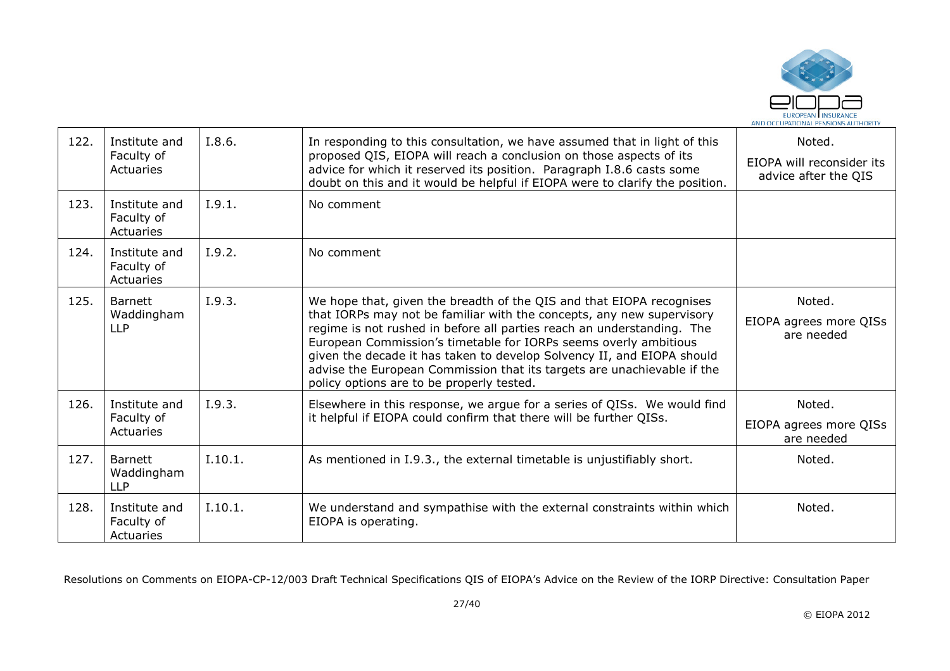

| 122. | Institute and<br>Faculty of<br>Actuaries   | I.8.6.  | In responding to this consultation, we have assumed that in light of this<br>proposed QIS, EIOPA will reach a conclusion on those aspects of its<br>advice for which it reserved its position. Paragraph I.8.6 casts some<br>doubt on this and it would be helpful if EIOPA were to clarify the position.                                                                                                                                                                                     | Noted.<br>EIOPA will reconsider its<br>advice after the QIS |
|------|--------------------------------------------|---------|-----------------------------------------------------------------------------------------------------------------------------------------------------------------------------------------------------------------------------------------------------------------------------------------------------------------------------------------------------------------------------------------------------------------------------------------------------------------------------------------------|-------------------------------------------------------------|
| 123. | Institute and<br>Faculty of<br>Actuaries   | I.9.1.  | No comment                                                                                                                                                                                                                                                                                                                                                                                                                                                                                    |                                                             |
| 124. | Institute and<br>Faculty of<br>Actuaries   | I.9.2.  | No comment                                                                                                                                                                                                                                                                                                                                                                                                                                                                                    |                                                             |
| 125. | <b>Barnett</b><br>Waddingham<br><b>LLP</b> | I.9.3.  | We hope that, given the breadth of the QIS and that EIOPA recognises<br>that IORPs may not be familiar with the concepts, any new supervisory<br>regime is not rushed in before all parties reach an understanding. The<br>European Commission's timetable for IORPs seems overly ambitious<br>given the decade it has taken to develop Solvency II, and EIOPA should<br>advise the European Commission that its targets are unachievable if the<br>policy options are to be properly tested. | Noted.<br>EIOPA agrees more QISs<br>are needed              |
| 126. | Institute and<br>Faculty of<br>Actuaries   | I.9.3.  | Elsewhere in this response, we argue for a series of QISs. We would find<br>it helpful if EIOPA could confirm that there will be further QISs.                                                                                                                                                                                                                                                                                                                                                | Noted.<br>EIOPA agrees more QISs<br>are needed              |
| 127. | <b>Barnett</b><br>Waddingham<br><b>LLP</b> | I.10.1. | As mentioned in I.9.3., the external timetable is unjustifiably short.                                                                                                                                                                                                                                                                                                                                                                                                                        | Noted.                                                      |
| 128. | Institute and<br>Faculty of<br>Actuaries   | I.10.1. | We understand and sympathise with the external constraints within which<br>EIOPA is operating.                                                                                                                                                                                                                                                                                                                                                                                                | Noted.                                                      |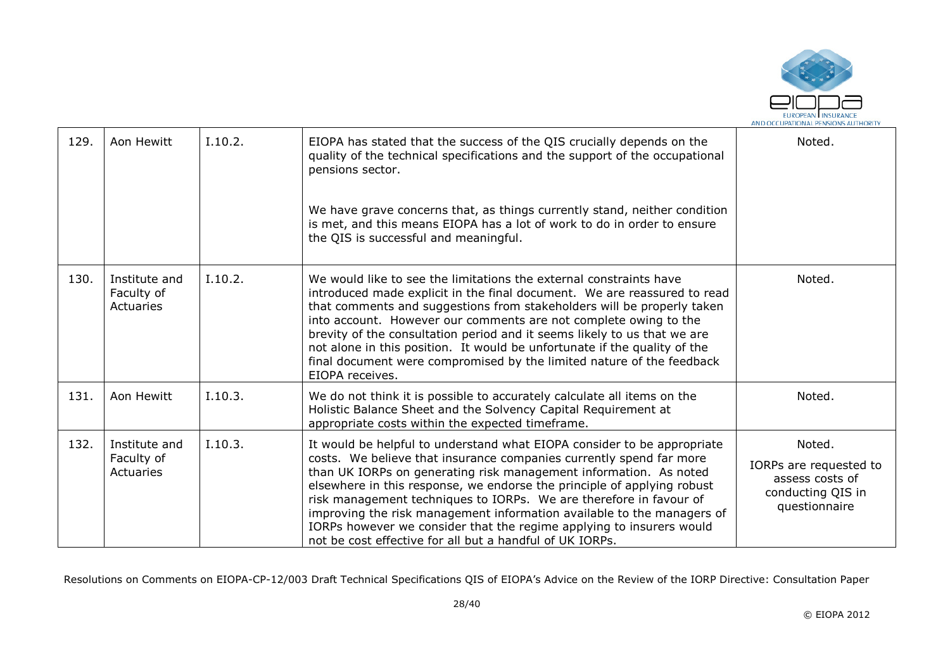

| 129. | Aon Hewitt                               | I.10.2. | EIOPA has stated that the success of the QIS crucially depends on the<br>quality of the technical specifications and the support of the occupational<br>pensions sector.                                                                                                                                                                                                                                                                                                                                                                                                           | Noted.                                                                                    |
|------|------------------------------------------|---------|------------------------------------------------------------------------------------------------------------------------------------------------------------------------------------------------------------------------------------------------------------------------------------------------------------------------------------------------------------------------------------------------------------------------------------------------------------------------------------------------------------------------------------------------------------------------------------|-------------------------------------------------------------------------------------------|
|      |                                          |         | We have grave concerns that, as things currently stand, neither condition<br>is met, and this means EIOPA has a lot of work to do in order to ensure<br>the QIS is successful and meaningful.                                                                                                                                                                                                                                                                                                                                                                                      |                                                                                           |
| 130. | Institute and<br>Faculty of<br>Actuaries | I.10.2. | We would like to see the limitations the external constraints have<br>introduced made explicit in the final document. We are reassured to read<br>that comments and suggestions from stakeholders will be properly taken<br>into account. However our comments are not complete owing to the<br>brevity of the consultation period and it seems likely to us that we are<br>not alone in this position. It would be unfortunate if the quality of the<br>final document were compromised by the limited nature of the feedback<br>EIOPA receives.                                  | Noted.                                                                                    |
| 131. | Aon Hewitt                               | I.10.3. | We do not think it is possible to accurately calculate all items on the<br>Holistic Balance Sheet and the Solvency Capital Requirement at<br>appropriate costs within the expected timeframe.                                                                                                                                                                                                                                                                                                                                                                                      | Noted.                                                                                    |
| 132. | Institute and<br>Faculty of<br>Actuaries | I.10.3. | It would be helpful to understand what EIOPA consider to be appropriate<br>costs. We believe that insurance companies currently spend far more<br>than UK IORPs on generating risk management information. As noted<br>elsewhere in this response, we endorse the principle of applying robust<br>risk management techniques to IORPs. We are therefore in favour of<br>improving the risk management information available to the managers of<br>IORPs however we consider that the regime applying to insurers would<br>not be cost effective for all but a handful of UK IORPs. | Noted.<br>IORPs are requested to<br>assess costs of<br>conducting QIS in<br>questionnaire |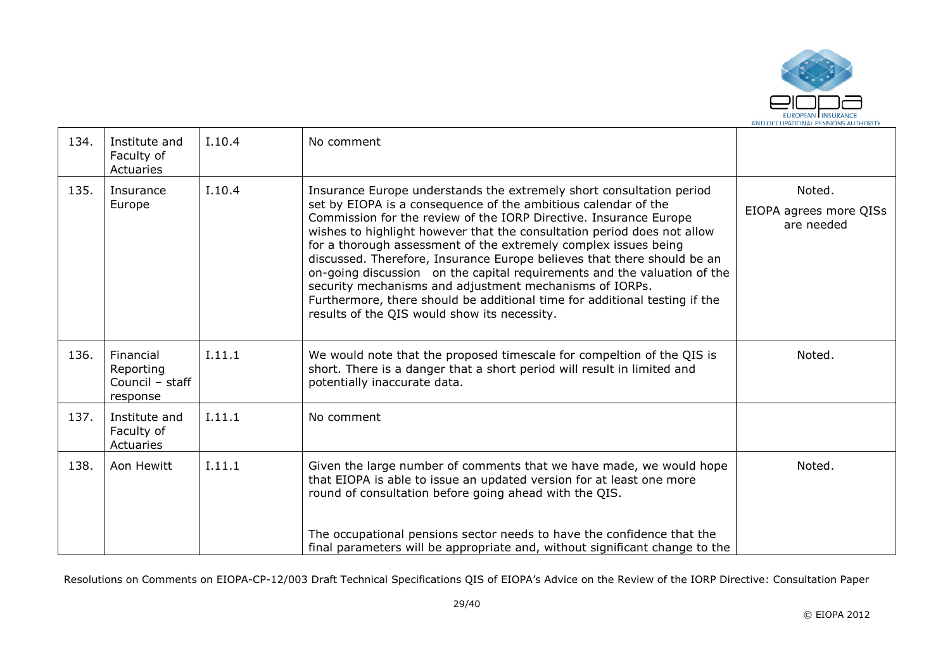

| 134. | Institute and<br>Faculty of<br>Actuaries              | I.10.4 | No comment                                                                                                                                                                                                                                                                                                                                                                                                                                                                                                                                                                                                                                                                                                |                                                |
|------|-------------------------------------------------------|--------|-----------------------------------------------------------------------------------------------------------------------------------------------------------------------------------------------------------------------------------------------------------------------------------------------------------------------------------------------------------------------------------------------------------------------------------------------------------------------------------------------------------------------------------------------------------------------------------------------------------------------------------------------------------------------------------------------------------|------------------------------------------------|
| 135. | Insurance<br>Europe                                   | I.10.4 | Insurance Europe understands the extremely short consultation period<br>set by EIOPA is a consequence of the ambitious calendar of the<br>Commission for the review of the IORP Directive. Insurance Europe<br>wishes to highlight however that the consultation period does not allow<br>for a thorough assessment of the extremely complex issues being<br>discussed. Therefore, Insurance Europe believes that there should be an<br>on-going discussion on the capital requirements and the valuation of the<br>security mechanisms and adjustment mechanisms of IORPs.<br>Furthermore, there should be additional time for additional testing if the<br>results of the QIS would show its necessity. | Noted.<br>EIOPA agrees more QISs<br>are needed |
| 136. | Financial<br>Reporting<br>Council - staff<br>response | I.11.1 | We would note that the proposed timescale for compeltion of the QIS is<br>short. There is a danger that a short period will result in limited and<br>potentially inaccurate data.                                                                                                                                                                                                                                                                                                                                                                                                                                                                                                                         | Noted.                                         |
| 137. | Institute and<br>Faculty of<br>Actuaries              | I.11.1 | No comment                                                                                                                                                                                                                                                                                                                                                                                                                                                                                                                                                                                                                                                                                                |                                                |
| 138. | Aon Hewitt                                            | I.11.1 | Given the large number of comments that we have made, we would hope<br>that EIOPA is able to issue an updated version for at least one more<br>round of consultation before going ahead with the QIS.                                                                                                                                                                                                                                                                                                                                                                                                                                                                                                     | Noted.                                         |
|      |                                                       |        | The occupational pensions sector needs to have the confidence that the<br>final parameters will be appropriate and, without significant change to the                                                                                                                                                                                                                                                                                                                                                                                                                                                                                                                                                     |                                                |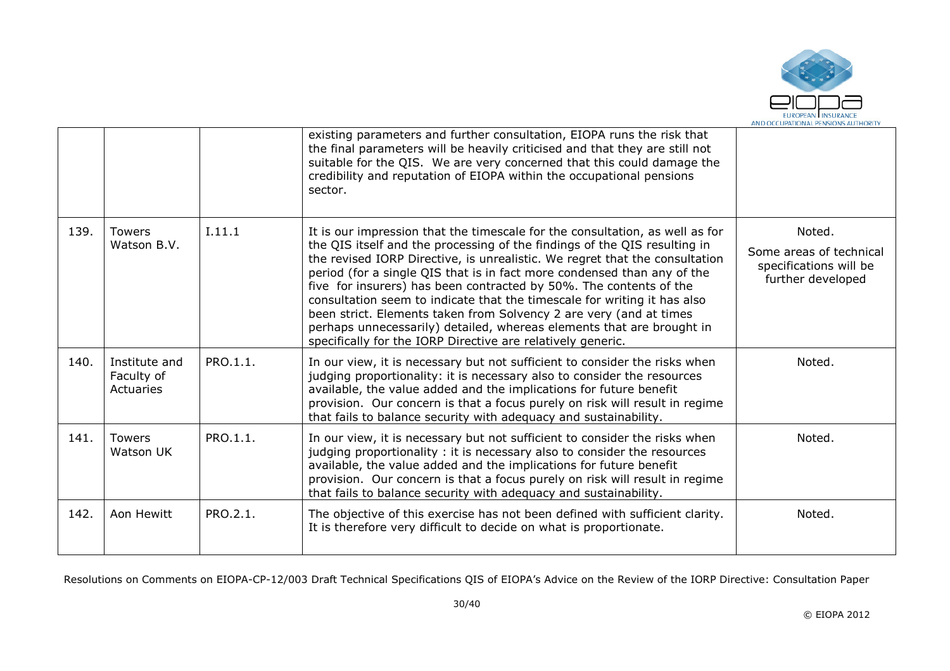

|      |                                          |          | existing parameters and further consultation, EIOPA runs the risk that<br>the final parameters will be heavily criticised and that they are still not<br>suitable for the QIS. We are very concerned that this could damage the<br>credibility and reputation of EIOPA within the occupational pensions<br>sector.                                                                                                                                                                                                     |                                                                        |
|------|------------------------------------------|----------|------------------------------------------------------------------------------------------------------------------------------------------------------------------------------------------------------------------------------------------------------------------------------------------------------------------------------------------------------------------------------------------------------------------------------------------------------------------------------------------------------------------------|------------------------------------------------------------------------|
| 139. | <b>Towers</b><br>Watson B.V.             | I.11.1   | It is our impression that the timescale for the consultation, as well as for<br>the QIS itself and the processing of the findings of the QIS resulting in                                                                                                                                                                                                                                                                                                                                                              | Noted.                                                                 |
|      |                                          |          | the revised IORP Directive, is unrealistic. We regret that the consultation<br>period (for a single QIS that is in fact more condensed than any of the<br>five for insurers) has been contracted by 50%. The contents of the<br>consultation seem to indicate that the timescale for writing it has also<br>been strict. Elements taken from Solvency 2 are very (and at times<br>perhaps unnecessarily) detailed, whereas elements that are brought in<br>specifically for the IORP Directive are relatively generic. | Some areas of technical<br>specifications will be<br>further developed |
| 140. | Institute and<br>Faculty of<br>Actuaries | PRO.1.1. | In our view, it is necessary but not sufficient to consider the risks when<br>judging proportionality: it is necessary also to consider the resources<br>available, the value added and the implications for future benefit<br>provision. Our concern is that a focus purely on risk will result in regime<br>that fails to balance security with adequacy and sustainability.                                                                                                                                         | Noted.                                                                 |
| 141. | <b>Towers</b><br>Watson UK               | PRO.1.1. | In our view, it is necessary but not sufficient to consider the risks when<br>judging proportionality : it is necessary also to consider the resources<br>available, the value added and the implications for future benefit<br>provision. Our concern is that a focus purely on risk will result in regime<br>that fails to balance security with adequacy and sustainability.                                                                                                                                        | Noted.                                                                 |
| 142. | Aon Hewitt                               | PRO.2.1. | The objective of this exercise has not been defined with sufficient clarity.<br>It is therefore very difficult to decide on what is proportionate.                                                                                                                                                                                                                                                                                                                                                                     | Noted.                                                                 |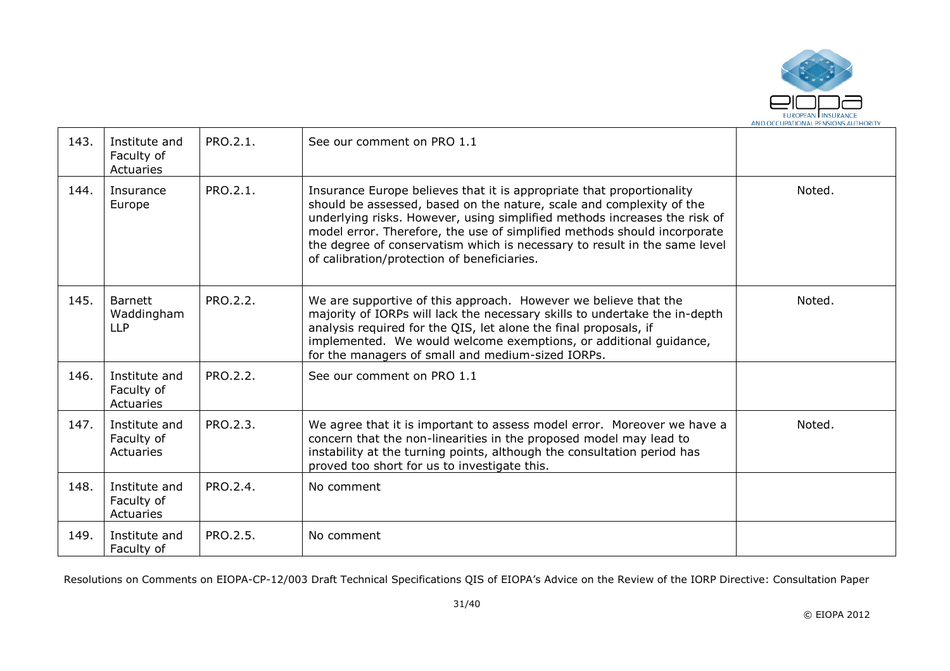

| 143. | Institute and<br>Faculty of<br>Actuaries   | PRO.2.1. | See our comment on PRO 1.1                                                                                                                                                                                                                                                                                                                                                                                                         |        |
|------|--------------------------------------------|----------|------------------------------------------------------------------------------------------------------------------------------------------------------------------------------------------------------------------------------------------------------------------------------------------------------------------------------------------------------------------------------------------------------------------------------------|--------|
| 144. | Insurance<br>Europe                        | PRO.2.1. | Insurance Europe believes that it is appropriate that proportionality<br>should be assessed, based on the nature, scale and complexity of the<br>underlying risks. However, using simplified methods increases the risk of<br>model error. Therefore, the use of simplified methods should incorporate<br>the degree of conservatism which is necessary to result in the same level<br>of calibration/protection of beneficiaries. | Noted. |
| 145. | <b>Barnett</b><br>Waddingham<br><b>LLP</b> | PRO.2.2. | We are supportive of this approach. However we believe that the<br>majority of IORPs will lack the necessary skills to undertake the in-depth<br>analysis required for the QIS, let alone the final proposals, if<br>implemented. We would welcome exemptions, or additional guidance,<br>for the managers of small and medium-sized IORPs.                                                                                        | Noted. |
| 146. | Institute and<br>Faculty of<br>Actuaries   | PRO.2.2. | See our comment on PRO 1.1                                                                                                                                                                                                                                                                                                                                                                                                         |        |
| 147. | Institute and<br>Faculty of<br>Actuaries   | PRO.2.3. | We agree that it is important to assess model error. Moreover we have a<br>concern that the non-linearities in the proposed model may lead to<br>instability at the turning points, although the consultation period has<br>proved too short for us to investigate this.                                                                                                                                                           | Noted. |
| 148. | Institute and<br>Faculty of<br>Actuaries   | PRO.2.4. | No comment                                                                                                                                                                                                                                                                                                                                                                                                                         |        |
| 149. | Institute and<br>Faculty of                | PRO.2.5. | No comment                                                                                                                                                                                                                                                                                                                                                                                                                         |        |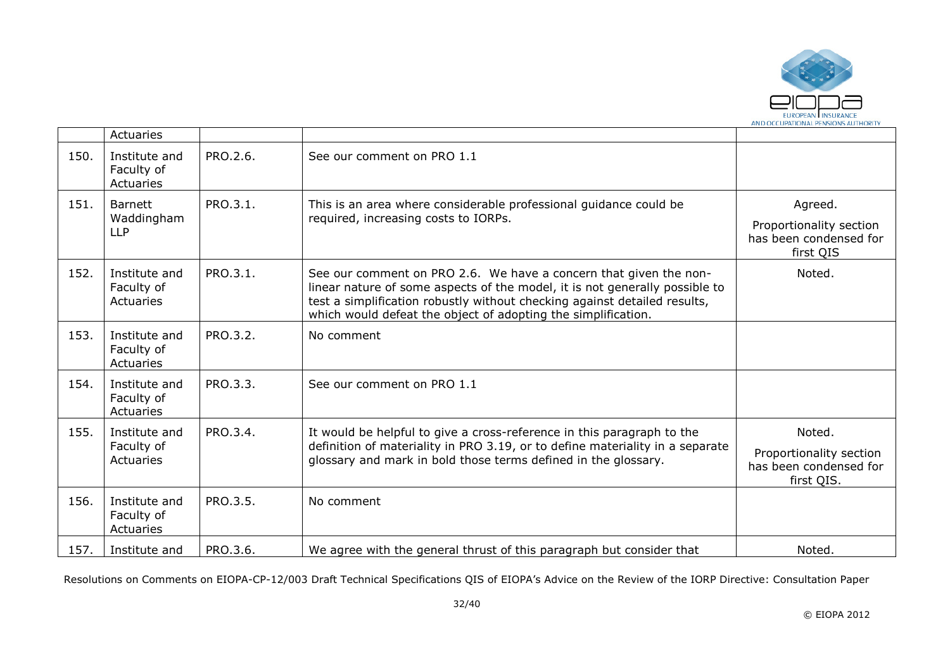

|      | Actuaries                                  |          |                                                                                                                                                                                                                                                                                                |                                                                           |
|------|--------------------------------------------|----------|------------------------------------------------------------------------------------------------------------------------------------------------------------------------------------------------------------------------------------------------------------------------------------------------|---------------------------------------------------------------------------|
| 150. | Institute and<br>Faculty of<br>Actuaries   | PRO.2.6. | See our comment on PRO 1.1                                                                                                                                                                                                                                                                     |                                                                           |
| 151. | <b>Barnett</b><br>Waddingham<br><b>LLP</b> | PRO.3.1. | This is an area where considerable professional guidance could be<br>required, increasing costs to IORPs.                                                                                                                                                                                      | Agreed.<br>Proportionality section<br>has been condensed for<br>first QIS |
| 152. | Institute and<br>Faculty of<br>Actuaries   | PRO.3.1. | See our comment on PRO 2.6. We have a concern that given the non-<br>linear nature of some aspects of the model, it is not generally possible to<br>test a simplification robustly without checking against detailed results,<br>which would defeat the object of adopting the simplification. | Noted.                                                                    |
| 153. | Institute and<br>Faculty of<br>Actuaries   | PRO.3.2. | No comment                                                                                                                                                                                                                                                                                     |                                                                           |
| 154. | Institute and<br>Faculty of<br>Actuaries   | PRO.3.3. | See our comment on PRO 1.1                                                                                                                                                                                                                                                                     |                                                                           |
| 155. | Institute and<br>Faculty of<br>Actuaries   | PRO.3.4. | It would be helpful to give a cross-reference in this paragraph to the<br>definition of materiality in PRO 3.19, or to define materiality in a separate<br>glossary and mark in bold those terms defined in the glossary.                                                                      | Noted.<br>Proportionality section<br>has been condensed for<br>first QIS. |
| 156. | Institute and<br>Faculty of<br>Actuaries   | PRO.3.5. | No comment                                                                                                                                                                                                                                                                                     |                                                                           |
| 157. | Institute and                              | PRO.3.6. | We agree with the general thrust of this paragraph but consider that                                                                                                                                                                                                                           | Noted.                                                                    |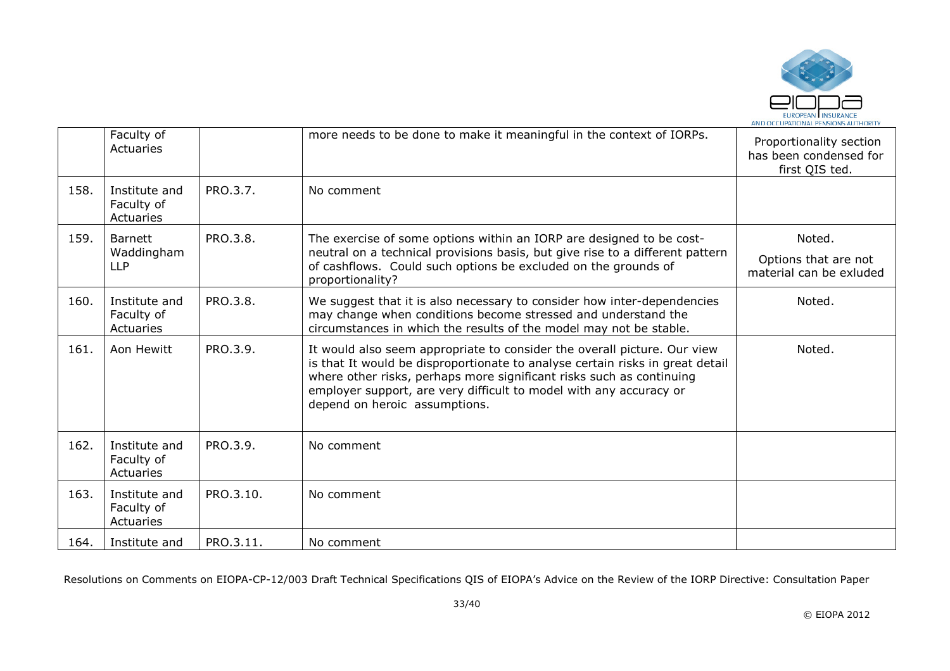

|      | Faculty of<br>Actuaries                    |           | more needs to be done to make it meaningful in the context of IORPs.                                                                                                                                                                                                                                                                     | Proportionality section<br>has been condensed for<br>first QIS ted. |
|------|--------------------------------------------|-----------|------------------------------------------------------------------------------------------------------------------------------------------------------------------------------------------------------------------------------------------------------------------------------------------------------------------------------------------|---------------------------------------------------------------------|
| 158. | Institute and<br>Faculty of<br>Actuaries   | PRO.3.7.  | No comment                                                                                                                                                                                                                                                                                                                               |                                                                     |
| 159. | <b>Barnett</b><br>Waddingham<br><b>LLP</b> | PRO.3.8.  | The exercise of some options within an IORP are designed to be cost-<br>neutral on a technical provisions basis, but give rise to a different pattern<br>of cashflows. Could such options be excluded on the grounds of<br>proportionality?                                                                                              | Noted.<br>Options that are not<br>material can be exluded           |
| 160. | Institute and<br>Faculty of<br>Actuaries   | PRO.3.8.  | We suggest that it is also necessary to consider how inter-dependencies<br>may change when conditions become stressed and understand the<br>circumstances in which the results of the model may not be stable.                                                                                                                           | Noted.                                                              |
| 161. | Aon Hewitt                                 | PRO.3.9.  | It would also seem appropriate to consider the overall picture. Our view<br>is that It would be disproportionate to analyse certain risks in great detail<br>where other risks, perhaps more significant risks such as continuing<br>employer support, are very difficult to model with any accuracy or<br>depend on heroic assumptions. | Noted.                                                              |
| 162. | Institute and<br>Faculty of<br>Actuaries   | PRO.3.9.  | No comment                                                                                                                                                                                                                                                                                                                               |                                                                     |
| 163. | Institute and<br>Faculty of<br>Actuaries   | PRO.3.10. | No comment                                                                                                                                                                                                                                                                                                                               |                                                                     |
| 164. | Institute and                              | PRO.3.11. | No comment                                                                                                                                                                                                                                                                                                                               |                                                                     |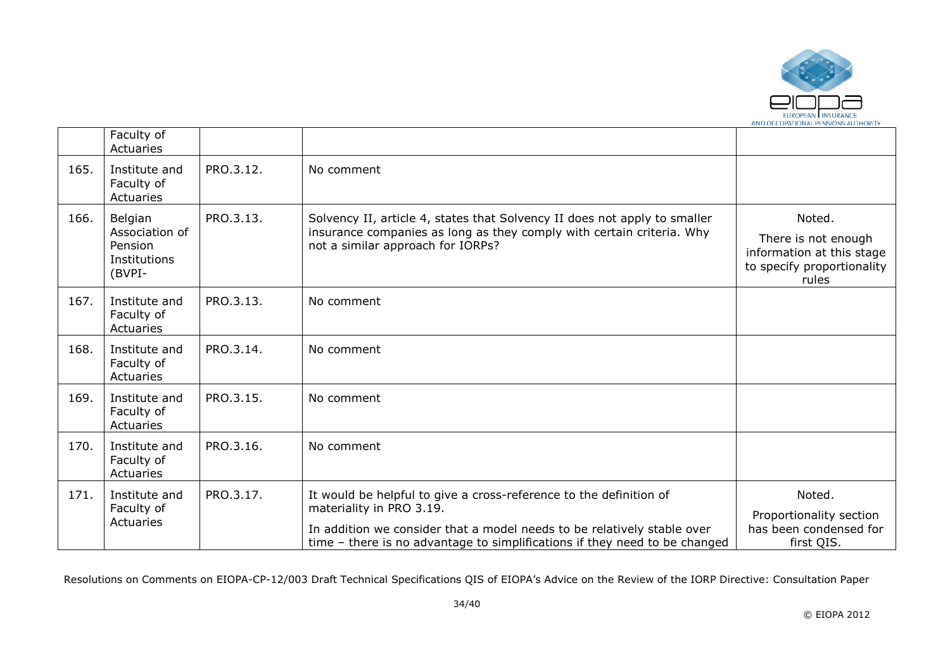

|      | Faculty of<br>Actuaries                                        |           |                                                                                                                                                                                                                                                         |                                                                                                   |
|------|----------------------------------------------------------------|-----------|---------------------------------------------------------------------------------------------------------------------------------------------------------------------------------------------------------------------------------------------------------|---------------------------------------------------------------------------------------------------|
| 165. | Institute and<br>Faculty of<br>Actuaries                       | PRO.3.12. | No comment                                                                                                                                                                                                                                              |                                                                                                   |
| 166. | Belgian<br>Association of<br>Pension<br>Institutions<br>(BVPI- | PRO.3.13. | Solvency II, article 4, states that Solvency II does not apply to smaller<br>insurance companies as long as they comply with certain criteria. Why<br>not a similar approach for IORPs?                                                                 | Noted.<br>There is not enough<br>information at this stage<br>to specify proportionality<br>rules |
| 167. | Institute and<br>Faculty of<br>Actuaries                       | PRO.3.13. | No comment                                                                                                                                                                                                                                              |                                                                                                   |
| 168. | Institute and<br>Faculty of<br>Actuaries                       | PRO.3.14. | No comment                                                                                                                                                                                                                                              |                                                                                                   |
| 169. | Institute and<br>Faculty of<br>Actuaries                       | PRO.3.15. | No comment                                                                                                                                                                                                                                              |                                                                                                   |
| 170. | Institute and<br>Faculty of<br>Actuaries                       | PRO.3.16. | No comment                                                                                                                                                                                                                                              |                                                                                                   |
| 171. | Institute and<br>Faculty of<br>Actuaries                       | PRO.3.17. | It would be helpful to give a cross-reference to the definition of<br>materiality in PRO 3.19.<br>In addition we consider that a model needs to be relatively stable over<br>time - there is no advantage to simplifications if they need to be changed | Noted.<br>Proportionality section<br>has been condensed for<br>first QIS.                         |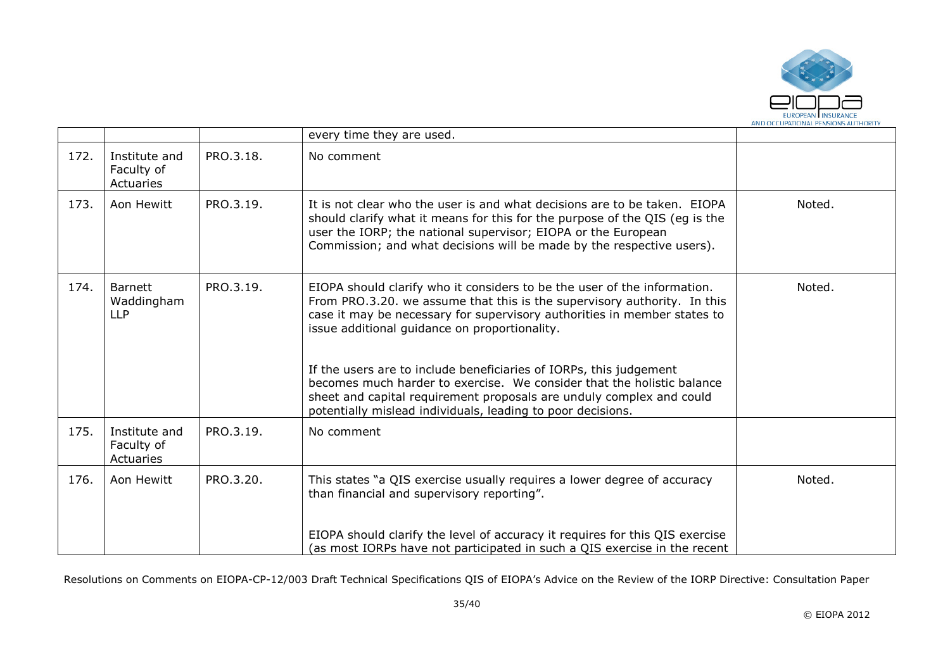

|      |                                            |           | every time they are used.                                                                                                                                                                                                                                                                                                                                                                                                                                                                                 |        |
|------|--------------------------------------------|-----------|-----------------------------------------------------------------------------------------------------------------------------------------------------------------------------------------------------------------------------------------------------------------------------------------------------------------------------------------------------------------------------------------------------------------------------------------------------------------------------------------------------------|--------|
| 172. | Institute and<br>Faculty of<br>Actuaries   | PRO.3.18. | No comment                                                                                                                                                                                                                                                                                                                                                                                                                                                                                                |        |
| 173. | Aon Hewitt                                 | PRO.3.19. | It is not clear who the user is and what decisions are to be taken. EIOPA<br>should clarify what it means for this for the purpose of the QIS (eg is the<br>user the IORP; the national supervisor; EIOPA or the European<br>Commission; and what decisions will be made by the respective users).                                                                                                                                                                                                        | Noted. |
| 174. | <b>Barnett</b><br>Waddingham<br><b>LLP</b> | PRO.3.19. | EIOPA should clarify who it considers to be the user of the information.<br>From PRO.3.20. we assume that this is the supervisory authority. In this<br>case it may be necessary for supervisory authorities in member states to<br>issue additional guidance on proportionality.<br>If the users are to include beneficiaries of IORPs, this judgement<br>becomes much harder to exercise. We consider that the holistic balance<br>sheet and capital requirement proposals are unduly complex and could | Noted. |
|      |                                            |           | potentially mislead individuals, leading to poor decisions.                                                                                                                                                                                                                                                                                                                                                                                                                                               |        |
| 175. | Institute and<br>Faculty of<br>Actuaries   | PRO.3.19. | No comment                                                                                                                                                                                                                                                                                                                                                                                                                                                                                                |        |
| 176. | Aon Hewitt                                 | PRO.3.20. | This states "a QIS exercise usually requires a lower degree of accuracy<br>than financial and supervisory reporting".                                                                                                                                                                                                                                                                                                                                                                                     | Noted. |
|      |                                            |           | EIOPA should clarify the level of accuracy it requires for this QIS exercise<br>(as most IORPs have not participated in such a QIS exercise in the recent                                                                                                                                                                                                                                                                                                                                                 |        |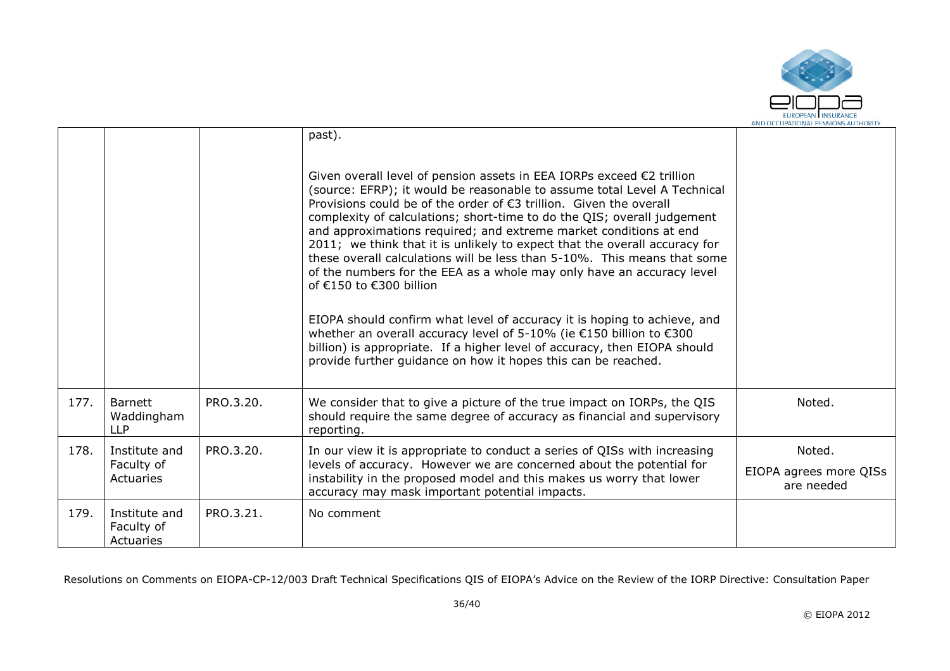

|      |                                            |           | past).<br>Given overall level of pension assets in EEA IORPs exceed $\epsilon$ 2 trillion<br>(source: EFRP); it would be reasonable to assume total Level A Technical<br>Provisions could be of the order of $€3$ trillion. Given the overall<br>complexity of calculations; short-time to do the QIS; overall judgement<br>and approximations required; and extreme market conditions at end<br>2011; we think that it is unlikely to expect that the overall accuracy for |                                                |
|------|--------------------------------------------|-----------|-----------------------------------------------------------------------------------------------------------------------------------------------------------------------------------------------------------------------------------------------------------------------------------------------------------------------------------------------------------------------------------------------------------------------------------------------------------------------------|------------------------------------------------|
|      |                                            |           | these overall calculations will be less than 5-10%. This means that some<br>of the numbers for the EEA as a whole may only have an accuracy level<br>of €150 to €300 billion<br>EIOPA should confirm what level of accuracy it is hoping to achieve, and<br>whether an overall accuracy level of 5-10% (ie €150 billion to €300                                                                                                                                             |                                                |
|      |                                            |           | billion) is appropriate. If a higher level of accuracy, then EIOPA should<br>provide further guidance on how it hopes this can be reached.                                                                                                                                                                                                                                                                                                                                  |                                                |
| 177. | <b>Barnett</b><br>Waddingham<br><b>LLP</b> | PRO.3.20. | We consider that to give a picture of the true impact on IORPs, the QIS<br>should require the same degree of accuracy as financial and supervisory<br>reporting.                                                                                                                                                                                                                                                                                                            | Noted.                                         |
| 178. | Institute and<br>Faculty of<br>Actuaries   | PRO.3.20. | In our view it is appropriate to conduct a series of QISs with increasing<br>levels of accuracy. However we are concerned about the potential for<br>instability in the proposed model and this makes us worry that lower<br>accuracy may mask important potential impacts.                                                                                                                                                                                                 | Noted.<br>EIOPA agrees more QISs<br>are needed |
| 179. | Institute and<br>Faculty of<br>Actuaries   | PRO.3.21. | No comment                                                                                                                                                                                                                                                                                                                                                                                                                                                                  |                                                |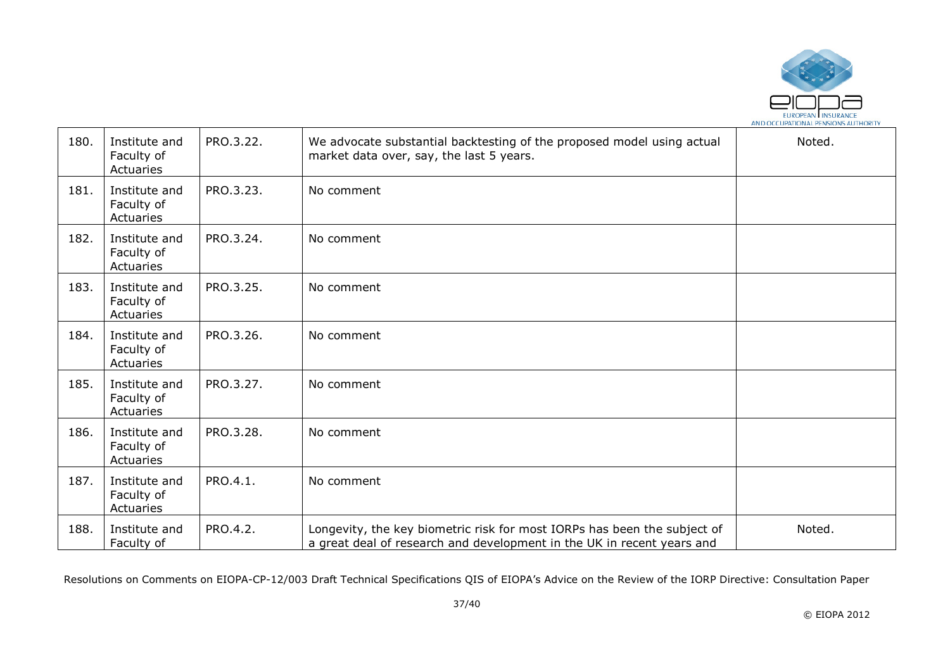

| 180. | Institute and<br>Faculty of<br>Actuaries | PRO.3.22. | We advocate substantial backtesting of the proposed model using actual<br>market data over, say, the last 5 years.                                 | Noted. |
|------|------------------------------------------|-----------|----------------------------------------------------------------------------------------------------------------------------------------------------|--------|
| 181. | Institute and<br>Faculty of<br>Actuaries | PRO.3.23. | No comment                                                                                                                                         |        |
| 182. | Institute and<br>Faculty of<br>Actuaries | PRO.3.24. | No comment                                                                                                                                         |        |
| 183. | Institute and<br>Faculty of<br>Actuaries | PRO.3.25. | No comment                                                                                                                                         |        |
| 184. | Institute and<br>Faculty of<br>Actuaries | PRO.3.26. | No comment                                                                                                                                         |        |
| 185. | Institute and<br>Faculty of<br>Actuaries | PRO.3.27. | No comment                                                                                                                                         |        |
| 186. | Institute and<br>Faculty of<br>Actuaries | PRO.3.28. | No comment                                                                                                                                         |        |
| 187. | Institute and<br>Faculty of<br>Actuaries | PRO.4.1.  | No comment                                                                                                                                         |        |
| 188. | Institute and<br>Faculty of              | PRO.4.2.  | Longevity, the key biometric risk for most IORPs has been the subject of<br>a great deal of research and development in the UK in recent years and | Noted. |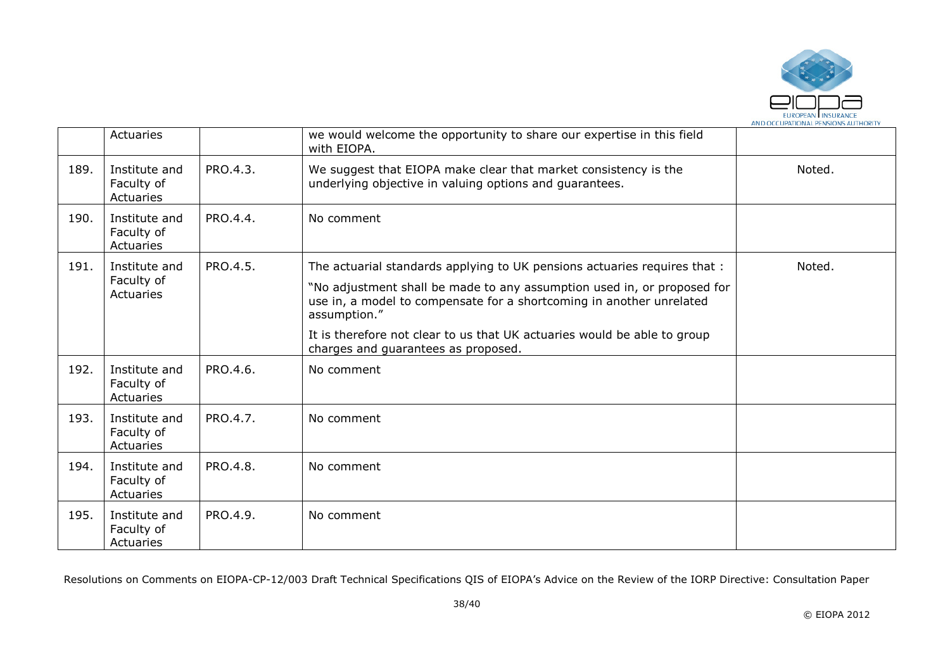

|      | Actuaries                                |          | we would welcome the opportunity to share our expertise in this field<br>with EIOPA.                                                                                                                                                                                                                                                                            |        |
|------|------------------------------------------|----------|-----------------------------------------------------------------------------------------------------------------------------------------------------------------------------------------------------------------------------------------------------------------------------------------------------------------------------------------------------------------|--------|
| 189. | Institute and<br>Faculty of<br>Actuaries | PRO.4.3. | We suggest that EIOPA make clear that market consistency is the<br>underlying objective in valuing options and guarantees.                                                                                                                                                                                                                                      | Noted. |
| 190. | Institute and<br>Faculty of<br>Actuaries | PRO.4.4. | No comment                                                                                                                                                                                                                                                                                                                                                      |        |
| 191. | Institute and<br>Faculty of<br>Actuaries | PRO.4.5. | The actuarial standards applying to UK pensions actuaries requires that :<br>"No adjustment shall be made to any assumption used in, or proposed for<br>use in, a model to compensate for a shortcoming in another unrelated<br>assumption."<br>It is therefore not clear to us that UK actuaries would be able to group<br>charges and guarantees as proposed. | Noted. |
| 192. | Institute and<br>Faculty of<br>Actuaries | PRO.4.6. | No comment                                                                                                                                                                                                                                                                                                                                                      |        |
| 193. | Institute and<br>Faculty of<br>Actuaries | PRO.4.7. | No comment                                                                                                                                                                                                                                                                                                                                                      |        |
| 194. | Institute and<br>Faculty of<br>Actuaries | PRO.4.8. | No comment                                                                                                                                                                                                                                                                                                                                                      |        |
| 195. | Institute and<br>Faculty of<br>Actuaries | PRO.4.9. | No comment                                                                                                                                                                                                                                                                                                                                                      |        |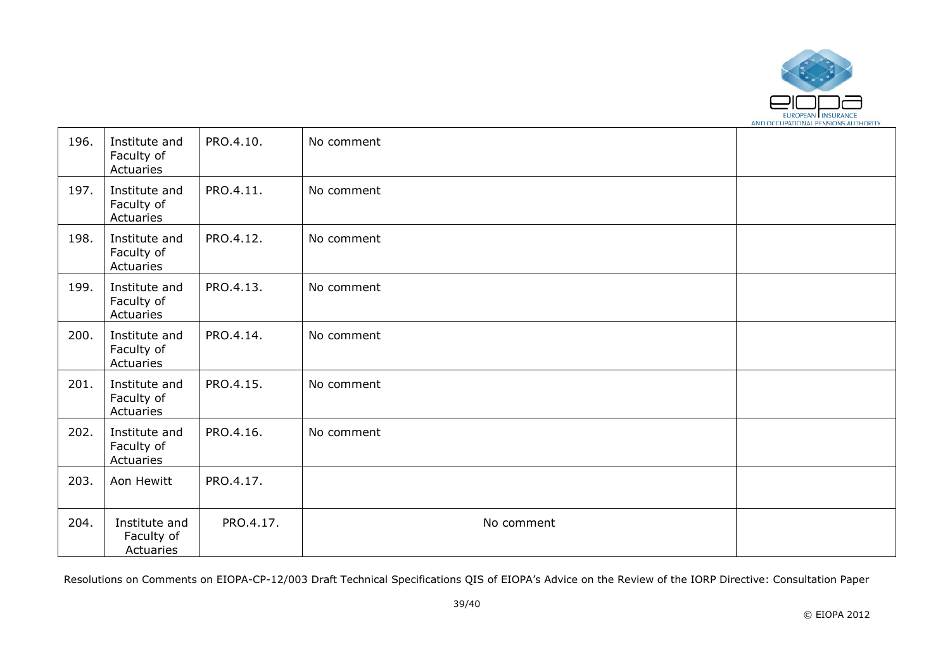

| 196. | Institute and<br>Faculty of<br>Actuaries | PRO.4.10. | No comment |  |
|------|------------------------------------------|-----------|------------|--|
| 197. | Institute and<br>Faculty of<br>Actuaries | PRO.4.11. | No comment |  |
| 198. | Institute and<br>Faculty of<br>Actuaries | PRO.4.12. | No comment |  |
| 199. | Institute and<br>Faculty of<br>Actuaries | PRO.4.13. | No comment |  |
| 200. | Institute and<br>Faculty of<br>Actuaries | PRO.4.14. | No comment |  |
| 201. | Institute and<br>Faculty of<br>Actuaries | PRO.4.15. | No comment |  |
| 202. | Institute and<br>Faculty of<br>Actuaries | PRO.4.16. | No comment |  |
| 203. | Aon Hewitt                               | PRO.4.17. |            |  |
| 204. | Institute and<br>Faculty of<br>Actuaries | PRO.4.17. | No comment |  |